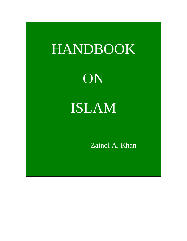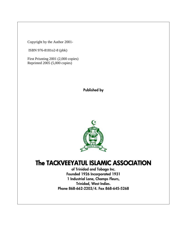Copyright by the Author 2001-

ISBN 976-8181o2-8 (pbk)

First Prisnting 2001 (2,000 copies) Reprinted 2005 (5,000 copies)

Published by



## The TACKVEEYATUL ISLAMIC ASSOCIATION

of Trinidad and Tobago Inc. Founded 1926 Incorporated 1931 1 Industrial Lane, Champs Fleurs, Trinidad, West Indies. Phone 868-662-2203/4. Fax 868-645-5268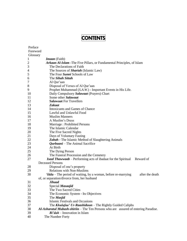# **CONTENTS**

| Preface        |                                                                                                |
|----------------|------------------------------------------------------------------------------------------------|
| Foreword       |                                                                                                |
| Glossary       |                                                                                                |
| $\mathbf{1}$   | <b>Imaan</b> (Faith)                                                                           |
| $\overline{c}$ | Arkaan Al-Islam - The Five Pillars, or Fundamental Principles, of Islam                        |
| 3              | The Declarations of Faith                                                                      |
| $\overline{4}$ | The Sources of Shariah (Islamic Law)                                                           |
| 5              | The Four Sunni Schools of Law                                                                  |
| 6              | The Sihah Sittah                                                                               |
| 7              | Al Qur'aan                                                                                     |
| 8              | Disposal of Verses of Al Qur'aan                                                               |
| 9              | Prophet Muhammad (S.A.W.) - Important Events in His Life.                                      |
| 10             | Daily Compulsory Salawaat (Prayers) Chart                                                      |
| 11             | Some other Salawaat                                                                            |
| 12             | <b>Salawaat For Travellers</b>                                                                 |
| 13             | <b>Zakaat</b>                                                                                  |
| 14             | <b>Intoxicants and Games of Chance</b>                                                         |
| 15             | Lawful and Unlawful Food                                                                       |
| 16             | <b>Muslim Manners</b>                                                                          |
| 17             | A Muslim's Dress                                                                               |
| 18             | Marriage: Prohibited Persons                                                                   |
| 19             | The Islamic Calendar                                                                           |
| 20             | The Five Sacred Nights                                                                         |
| 21             | Days of Voluntary Fasting                                                                      |
| 22             | <b>Zabah</b> - The Islamic Method of Slaughtering Animals                                      |
| 23             | <i>Qurbaani</i> – The Animal Sacrifice                                                         |
| 24             | At Birth                                                                                       |
| 25             | The Dying Person                                                                               |
| 26             | The Funeral Procession and the Cemetery                                                        |
| 27             | <b>Isaal Thawwaab</b> – Performing acts of ibadaat for the Spiritual Reward of                 |
|                | <b>Deceased Persons</b>                                                                        |
| 28             | Disposal of one's property                                                                     |
| 29             | <b>Relations with Non-Muslims</b>                                                              |
| 30             | <b><i>'Idda</i></b> – The period of waiting, by a woman, before re-marrying<br>after the death |
|                | of, or separation/divorce from, her husband                                                    |
| 31             | Jihaad                                                                                         |
| 32             | Special Masaajid                                                                               |
| 33             | The Two Sacred Cities                                                                          |
| 34             | The Economic System - Its Objectives                                                           |
| 35             | The <i>Masjid</i>                                                                              |
| 36             | <b>Islamic Festivals and Occasions</b>                                                         |
| 37             | The <b>Khulafaa' Ur-Raashiduun</b> – The Rightly Guided Caliphs                                |
| 38             | Al-Asharatul Mubash-shiriin – The Ten Persons who are assured of entering Paradise.            |
| 39             | $Bi' dah$ – Innovation in Islam                                                                |
| 40             | The Number Forty                                                                               |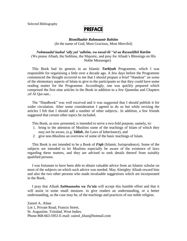Selected Bibliography

## **PREFACE**

#### *Bismillaahir Rahmaanir Rahiim* (In the name of God, Most Gracious, Most Merciful)

*Nahmaadul laahal "ally yul "adhiim, wa nusal-lii ""al aa Rasuulilhil Kariim* (We praise Allaah, the Sublime, the Majestic, and pray for Allaah"s Blessings on His Noble Messenger)

 This Book had its genesis in an Islamic *Tarbiyah* Programme, which I was responsible for orgainising a little over a decade ago. A few days before the Programme commenced the thought occurred to me that I should prepare a brief "Handout" on some of the elementary aspects of Islam to give to the participants so that they could have some reading matter for the Programme. Accordingly, one was quickly prepared which comprised the first nine articles in the Book in addition to a few Qaseedas and Chapters ;of Al Qur-aan..

 The "Handbook" was well received and it was suggested that I should publish it for wider circulation. After some consideration I agreed to do so but while revising the articles I felt that I should add a number of other subjects.. In addition, a few friends suggested that certain other topics be included.

This Book, as now presented, is intended to serve a two-fold purpose, namely, to:

- 1. bring to the attention of Muslims some of the teachings of Islam of which they may not be aware, (e.g."*Iddah*, the Laws of Inheritance), and
- 2 give non-Muslims an overview of some of the basic teachings of Islam.

 This Book is not intended to be a Book of *Fiqh* (Islamic Jurisprudence). Some of the subjects are intended to let Muslims especially be aware of the existence of laws regarding these matters, and they are advised to seek details thereof from suitably qualified persons.

 I was fortunate to have been able to obtain valuable advice from an Islamic scholar on most of the subjects on which such advice was needed. May Almighty Allaah reward him and also the two other persons who made invaluable suggestions which are incorporated in the Book,

 I pray that Allaah *Subhaanuhu wa Ta"ala* will accept this humble effort and that it will assist in some small measure. to give readers an understanding, or a better understanding, as the case may be, of the teachings and practices of our noble religion.

Zainol A.. Khan Lot 1, Private Road, Francis Street, St. Augustine, Trinidad, West Indies. Phone 868-663-5953 E-mail: zainol khan@hotmail.com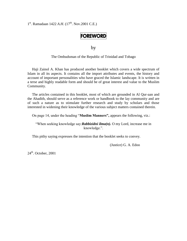1<sup>st</sup>. Ramadaan 1422 *A.H.* (17<sup>th</sup>. Nov.2001 C.E.)

## **FOREWORD**

by

The Ombudsman of the Republic of Trinidad and Tobago

 Haji Zainol A. Khan has produced another booklet which covers a wide spectrum of Islam in all its aspects. It contains all the import attributes and events, the history and account of important personalities who have graced the Islamic landscape. It is written in a terse and highly readable form and should be of great interest and value to the Muslim Community.

 The articles contained in this booklet, most of which are grounded in Al Qur-aan and the Ahadith, should serve as a reference work or handbook to the lay community and are of such a nature as to stimulate further research and study by scholars and those interested in widening their knowledge of the various subject matters contained therein.

On page 14, under the heading "**Muslim Manners",** appears the following, viz.:

"When seeking knowledge say:*Rabbizidni ilma(n).* O my Lord, increase me in knowledge.".

This pithy saying expresses the intention that the booklet seeks to convey.

(Justice) G. A. Edoo

 $24<sup>th</sup>$ . October, 2001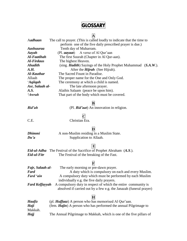## **GLOSSARY**

**A**

| Aadhaan           | The call to prayer. (This is called loudly to indicate that the time to |  |
|-------------------|-------------------------------------------------------------------------|--|
|                   | perform one of the five daily prescribed prayer is due.)                |  |
| Aashuuraa         | Tenth day of Muharram.                                                  |  |
| Aayah             | (Pl. <i>aayaat</i> ) A verse of Al Qur'aan                              |  |
| Al-Faatihah       | The first Suurah (Chapter in Al Qur-aan).                               |  |
| Al-Firdaus        | The highest Heaven.                                                     |  |
| <b>Ahadith</b>    | (sing. <i>Hadith</i> ) Sayings of the Holy Prophet Muhammad (S.A.W.).   |  |
| A.H.              | After the <i>Hijrah</i> (See Hijrah).                                   |  |
| <b>Al-Kauthar</b> | The Sacred Fount in Paradise.                                           |  |
| Allaah            | The proper name for the One and Only God.                               |  |
| 'Aqiiqah          | The ceremony at which a child is named.                                 |  |
| Asr, Salaah al-   | The late afternoon prayer.                                              |  |
| A.S.              | Alaihis Salaam (peace be upon him).                                     |  |
| 'Awrah            | That part of the body which must be covered.                            |  |
|                   |                                                                         |  |

#### **B**

*Bid"ah* (Pl. *Bid"aat*) An innovation in religion.

#### *C* C.E. Christian Era.

#### **D**

*Dhimmi* A non-Muslim residing in a Muslim State. *Du'a* Supplication to Allaah.

#### **E**

*Eid-ul-Adha* The Festival of the Sacrifice of Prophet Abraham (*A.S*.). *Eid-ul-Fitr* The Festival of the breaking of the Fast.

### **F**

| Fajr, Salaah al-      | The early morning or pre-dawn prayer.                              |
|-----------------------|--------------------------------------------------------------------|
| Fard                  | A duty which is compulsory on each and every Muslim.               |
| Fard 'ain             | A compulsory duty which must be performed by each Muslim           |
|                       | individually e.g. the five daily prayers.                          |
| <b>Fard Keffayyah</b> | A compulsory duty in respect of which the entire community is      |
|                       | absolved if carried out by a few e.g. the Janazah (funeral prayer) |

### **H**

| Haafiz  | (pl. <b>Huffaaz</b> ) A person who has memorised Al Qur'aan.             |
|---------|--------------------------------------------------------------------------|
| Haji    | (fem. <b>Hajin</b> ) A person who has performed the annual Pilgrimage to |
| Makkah. |                                                                          |
| Hajj    | The Annual Pilgrimage to Makkah, which is one of the five pillars of     |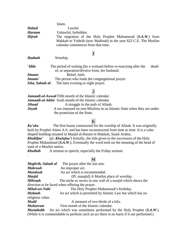|                  | Islam.                                                                                                                   |  |
|------------------|--------------------------------------------------------------------------------------------------------------------------|--|
| <b>Halaal</b>    | Lawful.                                                                                                                  |  |
| <b>Haraam</b>    | Unlawful, forbidden.                                                                                                     |  |
| <b>Hijrah</b>    | The migration of the Holy Prophet Muhammad (S.A.W.) from                                                                 |  |
|                  | Makkah to Yathrib (now Madinah) in the year 622 C.E. The Muslim<br>calendar commences from that time.                    |  |
|                  | Д                                                                                                                        |  |
| <b>Ibadaah</b>   | Worship.                                                                                                                 |  |
| <i>'Idda</i>     | The period of waiting (by a woman) before re-marrying after the<br>death<br>of, or separation/divorce from, her husband. |  |
| <b>Iimaan</b>    | Belief, faith.                                                                                                           |  |
| Imaam            | The person who leads the congregational prayer.                                                                          |  |
| Isha, Salaah al- | The later evening or night prayer.                                                                                       |  |
|                  |                                                                                                                          |  |

| ۰, |  |
|----|--|
|    |  |

|        | <b>Jamaadi-ul-Awwal</b> Fifth month of the Islamic calendar.         |
|--------|----------------------------------------------------------------------|
|        | <b>Jamaadi-ul-Akhir</b> Sixth month of the Islamic calendar.         |
| Jihaad | A struggle in the path of Allaah.                                    |
| Jizyah | A tax imposed on non-Muslims in an Islamic State when they are under |
|        | the protection of the State.                                         |

### **K**

*Ka"aba* The first house constructed for the worship of Allaah. It was originally built by Prophet Adam A.S. and has been reconstructed from time to time. It is a cubeshaped building situated in Masjid al-Haram in Makkah, Saudi Arabia.

*Khaliifaa"* (pl. *Khulafaa"*) Initially, the title given to the successors of the Holy Prophet Muhammad (*S.A.W*.). Eventually the word took on the meaning of the head of state of a Muslim nation.

*Khutbah* A sermon or speech, especially the Friday sermon

.

### **M**

| Maghrib, Salaah al | The prayer after the sun sets.                                                         |
|--------------------|----------------------------------------------------------------------------------------|
| <b>Makruuh</b>     | An improper act.                                                                       |
| <b>Manduub</b>     | An act which is recommended.                                                           |
| <b>Masjid</b>      | (Pl. masajid) A Muslim place of worship.                                               |
| <b>Mihraab</b>     | The niche or recess in one wall of a masjid which shows the                            |
|                    | direction to be faced when offering the prayer.                                        |
| Milad-un-Nabi      | The Holy Prophet Muhammad's birthday.                                                  |
| <b>Mubaah</b>      | An act which is permitted by Islamic Law but which has no                              |
| religious value.   |                                                                                        |
| <b>Mudd</b>        | A measure of two thirds of a kilo.                                                     |
| <b>Muharram</b>    | First month of the Islamic calendar.                                                   |
| <b>Mustahabb</b>   | An act which was sometimes performed by the Holy Prophet (S.A.W.).                     |
|                    | (While it is commendable to perform such an act there is no harm if it not performed.) |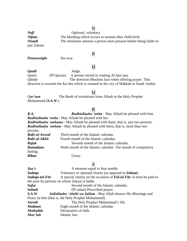### **N**

*Nafl* Optional, voluntary. *Nifaas* The bleeding which occurs in women after child-birth. *Nisaab* The minimum amount a person must possess before being liable to

# pay Zakaat.

## **P**

*Pennyweight* See troy.

## **Q**

*Qaadi* Judge.

Qaarii (Pl Qurraa) A person versed in reading Al-Qur-aan. Qiblah The direction Muslims face when offering prayer. This direction is towards the Ka"aba which is situated in the city of Makkah in Saudi Arabia.

## **Q**

Q*ur"aan* The Book of revelations from Allaah to the Holy Prophet Muhammad (*S.A.W*.).

### **R**

| <b>R.A.</b>   | Radhiallaahu 'anhu - May Allaah be pleased with him.                                 |
|---------------|--------------------------------------------------------------------------------------|
|               | <b>Radhiallaahu 'anha</b> - May Allaah be pleased with her.                          |
|               | Radhiallaahu 'anhuma - May Allaah be pleased with them, that is, any two persons.    |
|               | <b>Radhiallaahu 'anhum</b> - May Allaah be pleased with them, that is, more than two |
| persons.      |                                                                                      |
| Rabi-ul-Awwal | Third month of the Islamic calendar.                                                 |
| Rabi-ul-Akhir | Fourth month of the Islamic calendar.                                                |
| Rajab         | Seventh month of the Islamic calendar.                                               |
| Ramadaan      | Ninth month of the Islamic calendar. The month of compulsory                         |
| fasting.      |                                                                                      |
| Ribaa         | Usury.                                                                               |

### **S**

| Saa'e           | A measure equal to four mudds.                                              |
|-----------------|-----------------------------------------------------------------------------|
| Sadaqa          | Voluntary or optional charity (as opposed to <b>Zakaat</b> ).               |
| Sadaqa-tul-Fitr | A special charity on the occasion of <b>Eid-ul-Fitr.</b> It must be paid to |
|                 | the poor by persons on whom Zakaat is liable.                               |
| <b>Safar</b>    | Second month of the Islamic calendar.                                       |
| <b>Salaah</b>   | (Pl salaat) Prescribed prayer.                                              |
| S.A.W.          | <b>Sallallaahu 'Alaihi wa Sallam - May Allah shower His Blessings and</b>   |
|                 | Peace on him (that is, the Holy Prophet Muhammad).                          |
| <b>Seerah</b>   | The Holy Prophet Muhammad's life.                                           |
| <b>Shabaan</b>  | Eight month of the Islamic calendar.                                        |
| <b>Shahadah</b> | Declaration of faith.                                                       |
| Shar'iah        | Islamic law.                                                                |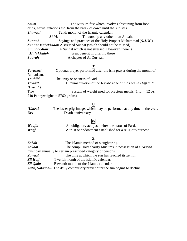**Saum** The Muslim fast which involves abstaining from food, drink, sexual relations etc. from the break of dawn until the sun sets. **Shawaal Tenth month of the Islamic calendar. Shirk** To worship any other than Allaah. *Sunnah* Sayings and practices of the Holy Prophet Muhammad (*S.A.W*.). *Sunnat Mu"akkadah* A stressed Sunnat (which should not be missed). **Sunnat Ghair** A Sunnat which is not stressed. However, there is *Mu"akkadah* great benefit in offering these **Suurah** A chapter of Al Qur-aan.

#### **T**

| <b>Taraweeh</b>                    | Optional prayer performed after the Isha prayer during the month of |
|------------------------------------|---------------------------------------------------------------------|
| Ramadaan.                          |                                                                     |
| <b>Tauhiid</b>                     | The unity or oneness of God.                                        |
| <b>Tawaaf</b>                      | Circumabulation of the Ka'aba (one of the rites in <i>Hajj and</i>  |
| 'Umrah).                           |                                                                     |
| Troy                               | System of weight used for precious metals (1 lb. = 12 oz. =         |
| 240 Pennyweights $= 5760$ grains). |                                                                     |

#### **U**

| 'Umrah | The lesser pilgrimage, which may be performed at any time in the year. |
|--------|------------------------------------------------------------------------|
| $U$ rs | Death anniversary.                                                     |

#### **W**

| <b>Waajib</b> | An obligatory act, just below the status of Fard.         |
|---------------|-----------------------------------------------------------|
| Waqf          | A trust or endowment established for a religious purpose. |

### **Z**

| Zabah                                                        | The Islamic method of slaughtering.                                                  |  |  |  |  |
|--------------------------------------------------------------|--------------------------------------------------------------------------------------|--|--|--|--|
| <b>Zakaat</b>                                                | The compulsory charity Muslims in possession of a <i>Nisaab</i>                      |  |  |  |  |
| must pay annually to certain prescribed category of persons. |                                                                                      |  |  |  |  |
| <b>Zawaal</b>                                                | The time at which the sun has reached its zenith.                                    |  |  |  |  |
| Zil Hajj                                                     | Twelfth month of the Islamic calendar.                                               |  |  |  |  |
| Zil Qada                                                     | Eleventh month of the Islamic calendar.                                              |  |  |  |  |
|                                                              | <b>Zuhr, Salaat al-</b> The daily compulsory prayer after the sun begins to decline. |  |  |  |  |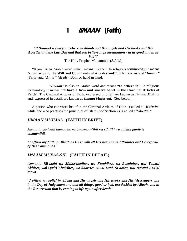## 1 *IIMAAN* (Faith)

#### *"It (Imaan) is that you believe in Allaah and His angels and His books and His Apostles and the Last Day and that you believe in predestination - in its good and in its bad"*." The Holy Prophet Muhammad (*S.A.W.)*

 "Islam" is an Arabic word which means "Peace". In religious terminology it means "**submission to the Will and Commands of Allaah (God)".** Islam consists of "*Iimaan"* (Faith) and "*Amal* " (deeds). Both go hand in hand.

"*Iimaan"* is also an Arabic word and means **"to believe in"**. In religious terminology it means "**to have a firm and sincere belief in the Cardinal Articles of Faith**". The Cardinal Articles of Faith, expressed in brief, are known as *Iimaan Mujmal* and, expressed in detail, are known as *Iimaan Mufas-sal.* (See below).

 A person who expresses belief in the Cardinal Articles of Faith is called a "*Mu"min*" while one who practises the principles of Islam (See Section 2) is called a "*Muslim"*.

#### *IIMAAN MUJMAL* **(FAITH IN BRIEF)**

*Aamantu bil-laahi kamaa huwa bi-asmaa-"ihii wa sifatihi wa qabiltu jamii-"a ahkaamihii.*

*"I affirm my faith in Allaah as He is with all His names and Attributes and I accept all of His Commands*."

#### *IMAAM MUFAS-SIL* **(FAITH IN DETAIL)**

*Aamantu Bil-laahi wa Malaa"ikatihee, wa Kutubihee, wa Rasuluhee, wal Yaumil Akhiree, wal Qadri Khairihee, wa Sharriee minal Lahi Ta"aalaa, wal Ba"athi Bad"al Mawt*.

*"I affirm my belief in Allaah and His angels and His Books and His Messengers and in the Day of Judgement and that all things, good or bad, are decided by Allaah, and in the Resurection that is, coming to life again after death*."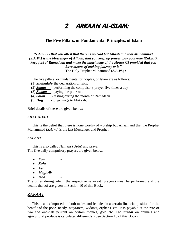# 2 ARKAAN AL-ISLAM:

#### **The Five Pillars, or Fundamental Principles, of Islam**

#### *"Islam is - that you attest that there is no God but Allaah and that Muhammad (S.A.W.) is the Messenger of Allaah, that you keep up prayer, pay poor-rate (Zakaat), keep fast of Ramadaan and make the pilgrimage of the House (1) provided that you have means of making journey to it."* The Holy Prophet Muhammad (*S.A.W*.) :

The five pillars, or fundamental principles, of Islam are as follows:

- (1) *Shahadah* the declaration of faith.
- (2) *Salaat*  performing the compulsory prayer five times a day
- (3) **Zakaat** paying the poor-rate
- (4) **Saum** fasting during the month of Ramadaan.
- (5) *Hajj* pilgrimage to Makkah.

Brief details of these are given below:

#### *SHAHADAH*

 This is the belief that there is none worthy of worship but Allaah and that the Prophet Muhammad (*S.A.W*.) is the last Messenger and Prophet.

#### *SALAAT*

 This is also called Namaaz (Urdu) and prayer. The five daily compulsory prayers are given below:

- Fajr
- *Zuhr* -
- *Asr*
- *Maghrib* -
- *Isha* -

The times during which the respective salawaat (prayers) must be performed and the details thereof are given in Section 10 of this Book.

### *ZAKAAT*

 This is a tax imposed on both males and females in a certain financial position for the benefit of the poor, needy, wayfarers, widows, orphans, etc. It is payable at the rate of two and one-half percent on certain monies, gold etc. The *zakaat* on animals and agricultural produce is calculated differently. (See Section 13 of this Book)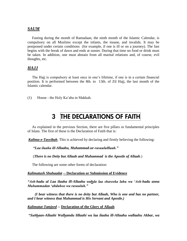#### *SAUM*

 Fasting during the month of Ramadaan, the ninth month of the Islamic Calendar, is compulsory on all Muslims except the infants, the insane, and invalids. It may be postponed under certain conditions (for example, if one is ill or on a journey). The fast begins with the break of dawn and ends at sunset. During that time no food or drink must be taken. In addition, one must abstain from all marital relations and, of course, evil thoughts, etc.

#### *HAJJ*

 The Hajj is compulsory at least once in one"s lifetime, if one is in a certain financial position. It is performed between the 8th. to 13th. of Zil Hajj, the last month of the Islamic calendar.

(1) House - the Holy Ka"aba in Makkah.

## 3 THE DECLARATIONS OF FAITH

 As explained in the previous Section, there are five pillars or fundamental principles of Islam. The first of these is the Declaration of Faith that is:

*Kalima-e-Tayyibah*. This is achieved by declaring and firmly believing the following:

 *"Laa ilaaha ill-Allaahu, Muhammad-ur-rasuululllaah."*

(*There is no Deity but Allaah and Muhammad is the Apostle of Allaah*.)

The following are some other forms of declaration:

#### *Kalimatush Shahaadat* **-- Declaration or Submission of Evidence**

*"Ash-hadu al Laa ilaaha ill-Allaahu wahda laa shareeka lahu wa "Ash-hadu anna Muhammadan "abduhoo wa rasuuluh."*

 *(I bear witness that there is no deity but Allaah, Who is one and has no partner, and I bear witness that Muhammad is His Servant and Apostle.)* 

#### *Kalimatut-Tamjeed* **-- Declaration of the Glory of Allaah**

*"Subhaan-Allaahi Walhamdu lillaahi wa laa ilaaha ill-Allaahu wallaahu Akbar, wa*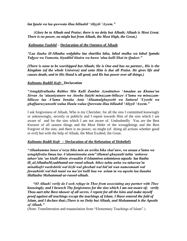*laa haula wa laa quwwata illaa billaahil "Aliyyil-"Azeem."*

 (*Glory be to Allaah and Praise; there is no deity but Allaah; Allaah is Most Great. There is no power, no might but from Allaah, the Most High, the Great.)*

#### *Kalimatut-Tauhiid* **– Declaration of the Oneness of Allaah**

*"Laa ilaaha ill-Allaahu wahdahu laa shariika lahu, lahul mulku wa lahul hamdu Yuhyee wa Yumeetu, biyadihil khairu wa huwa "alaa kulli Shai-in Qadeer."*

*(There is none to be worshipped but Allaah; He is One and has no partner., His is the Kingdom (of the whole Universe) and unto Him is due all Praise. He gives life and causes death, and in His Hand is all good, and He has power over all things.)* 

#### *Kalimatu-Raddil-Kufr***– Declaration**

*"Astaghfirullaaha Rabbee Min Kulli Zambin Aznabtuhoo "Amadan au Khataa"an Sirran Au "alaaniyatanw wa Atoobu ilaiyhi minazzam-billazee A"lamu wa minazzambillazee laa A"lamu Innaka Anta "Allaamulghuyoobi wa Sattarul "Uyoobi wa ghaffaaruzzunoobi walaa Haula walaa Quwwata illaa billaahil "Aliyyil "Azeem."*

I ask forgiveness of Allaah, Who is my Cherisher, for all the sins I committed knowingly or unknowingly, secretly or publicly and I repent towards Him of the sins which I am aware of and for the sins which I am not aware of. Undoubtedly You are the Best Knower of all unseen things and the Most Hider of the wrongdoings and the Best Forgiver of the sins; and there is no power, no might (of doing all actions whether good or evil) but with the help of Allaah, the Most Exalted, the Great.

#### *Kalimatu-Raddi-Kufr* **-- Declaration of the Refutation of Disbelief)**

*"Allaahumma innee a"oozu bika min an usrika bika shai"anw, wa anaaa a"lamu wa astaghfiruka limaa laa A"alamuinnuka anta"Allamul-ghuyuubi tubtu "anhuwa tabarr"atu "an kiulli diinin siwaadiin il-Islaamiwa aslamtuwa aquula laa ilaaha ill\_aLAllaahuM;uahhamd-usr-rasul-ullaah. bihee tubtu anhu wa tabarraa"tu minalkufri washshirki wal kizbi wal gheebati wal bid"ati wan nameemaati wal fawaahishi wal buh taani wa ma"asi kulli haa wa aslam tu wa aqoolu laa ilaaaha illallaahu Muhammad-ur-rasool-ullaah.* 

 *"(O Allaah! verily do I seek refuge in Thee from associating any partner with Thee knowingly; and I beseech Thy forgiveness for the sins which I am not aware of; verily Thou aart tehe lbest nkower of all secres. I repent for all the lsins and make myself proof against all teachings except the teachings of Islam. I lhave entered the fold of Islam, and I declare that:;There is no Deity but Allaah, and Muhammad is the Apostle of Allaah."* 

(Note: Transliteration and traaanslation from "Elementary Teachings of Islam".)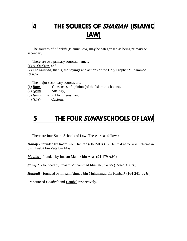# 4 THE SOURCES OF SHARIAH (ISLAMIC LAW)

 The sources of *Shariah* (Islamic Law) may be categorised as being primary or secondary.

There are two primary sources, namely:

 $(1)$  Al Qur'aan, and

(2) The *Sunnah*, that is, the sayings and actions of the Holy Prophet Muhammad (*S.A.W*.).

The major secondary sources are:

- (1*) Ijma* Consensus of opinion (of the Islamic scholars),
- $(2)$  *Qiyas* Analogy,
- (3) *Istihsaan* Public interest, and
- $(4)$  *<u>Urf</u>* Custom.

# 5 THE FOUR SUNNISCHOOLS OF LAW

There are four Sunni Schools of Law. These are as follows:

*Hanafi* - founded by Imam Abu Hanifah (80-150 *A.H.*). His real name was Nu'maan bin Thaabit bin Zuta bin Maah.

*Maaliki -* founded by Imaam Maalik bin Anas (94-179 *A.H*.).

*Shaafi"i -* founded by Imaam Muhammad Idris al-Shaafi"i (150-204 *A.H*.)

*Hanbali* - founded by Imaam Ahmad bin Muhammad bin Hanbal\* (164-241 *A.H*.)

Pronounced *Hambali* and Hambal respectively.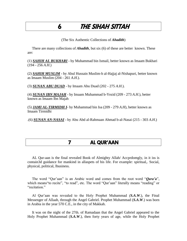## 6 THE SIHAH SITTAH

(The Six Authentic Collections of *Ahadith*)

 There are many collections of *Ahadith*, but six (6) of these are better known. These are:

(1) *SAHIH AL BUKHARI* - by Muhammad bin Ismail, better known as Imaam Bukhari (194 - 256 *A.H*.)

(2) *SAHIH MUSLIM* - by Abul Hussain Muslim-b al-Hajjaj al-Nishapuri, better known as Imaam Muslim (204 - 261 *A.H*.).

(3) *SUNAN ABU DUAD* - by Imaam Abu Duad (202 - 275 *A.H*.).

(4) *SUNAN IBN MAJAH* - by Imaam Muhammad b-Yezid (209 - 273 *A.H*.), better known as Imaam Ibn Majah

(5) *JAMI AL-TIRMIDH I*- by Muhammad bin Isa (209 - 279 *A.H*), better known as Imaam Tirmidhi

.(6) *SUNAN AN-NASAI* - by Abu Abd al-Rahmaan Ahmad b-al-Nasai (215 - 303 *A.H*.)

## 7 AL QUR'AAN

 AL Qur-aan is the final revealed Book of Almighty Allah/ Accprdomgly, in it iss is contain3d guidance for mankind in allaspets of his life. For example: spiritual,. Social, physical, political, lbusiness.

 The word "Qur"aan" is an Arabic word and comes from the root word "*Qara"a*", which means "to recite", "to read", etc. The word "Qur'aan" literally means "reading" or "recitation."

 Al Qur"aan was revealed to the Holy Prophet Muhammad *(S.A.W*.), the Final Messenger of Allaah, through the Angel Gabriel. Prophet Muhammad (*S.A.W*.) was born in Arabia in the year 570 C.E., in the city of Makkah.

 It was on the night of the 27th. of Ramadaan that the Angel Gabriel appeared to the Holy Prophet Muhammad (*S.A.W*.), then forty years of age, while the Holy Prophet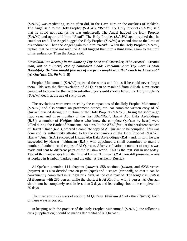(*S.A.W*.) was meditating, as he often did, in the Cave Hira on the outskirts of Makkah. The Angel said to the Holy Prophet *(S.A.W*.): "*Read*". The Holy Prophet (*S.A.W*.) said that he could not read (as he was unlettered). The Angel hugged the Holy Prophet **(***S.A.W*.) and again told him: "*Read*". The Holy Prophet (*S.A.W*.) again replied that he could not read. The Angel hugged the Holy Prophet (*S.A.W*.) a second time to the limit of his endurance. Then the Angel again told him: "*Read*". When the Holy Prophet (*S.A.W*.) replied that he could not read the Angel hugged then him a third time, again to the limit of his endurance. Then the Angel said:

#### *"Proclaim! (or Read!!) in the name of Thy Lord and Cherisher, Who created - Created man, out of a (mere) clot of congealed blood: Proclaim! And Thy Lord is Most Bountiful,- He Who taught (the use of the pen - taught man that which he knew not."* **(Al Qur"aan Ch. 96 V. 1 -5)**

 Prophet Muhammad (*S.A.W*.) repeated the words and felt as if he could never forget them. This was the first revelation of Al Qur"aan to mankind from Allaah. Revelations continued to come for the next twenty-three years until shortly before the Holy Prophet"s (*S.A.W*.) death at the age of sixty-three.

 The revelations were memorised by the companions of the Holy Prophet Muhammad (*S.A.W*.) and also written on parchment, stones, etc. No complete written copy of Al Qur"aan existed during the lifetime of the Holy Prophet (*S.A.W*.). During the short reign (two years and three months) of the first *Khaliifaa*", Hazrat Abu Bakr As-Siddique (*R.A.*), a number of *Huffaaz* (those who knew the complete Qur'aan by heart) were killed during the Battle of Yamaama. As a result, the *Khaliifaa*", at the persistent request of Hazrat "Umar (*R.A*.), ordered a complete copy of Al Qur"aan to be compiled. This was done and its authenticity attested to by the companions of the Holy Prophet (*S.A.W*.). Hazrat "Umar (*R.A*.) succeeded Hazrat Abu Bakr As-Siddique (*R.A*.) and, in turn, he was succeeded by Hazrat 'Uthmaan  $(R.A.)$ , who appointed a small committee to make a number of authenticated copies of Al Qur-aan. After verification, a number of copies was made and sent to different parts of the Muslim world. This is the text still in use today. Two of the manuscripts from the time of Hazrat "Uthmaan (*R.A*.) are still preserved – one at Topkap in Istanbul (Turkey) and the other at Tashkent (Russia).

 Al Qur"aan contains 114 chapters (*suurat*), 558 sections (*rukus*), and 6236 verses (*aayaat*). It is also divided into 30 parts (*Ajza*) and 7 stages (*manazil*), so that it can be conveniently completed in 30 days or 7 days, as the case may be. The longest *suurah* is *Al Baqarah* with 286 verses, while the shortest is *Al Kauthar* with 3 verses. Al Qur-aan should not be completely read in less than 3 days and its reading should be completed in 30 days.

 There are seven (7) ways of reciting Al Qur"aan (*Sab"ata Ahraf* - the 7 *Qirats*). Each of these ways is correct.

 In keeping with the practice of the Holy Prophet Muhammad (*S.A.W*.), the following du'a (supplication) should be made after recital of Al Qur'aan: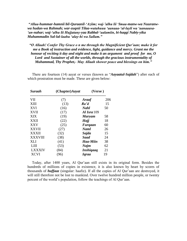*"Allaa-hummar-hamnii bil-Quraanil-"Aziim; waj-"alhu lii "Imaa-manw-wa Nuuranwwa hudan-wa Rahmah; war-zuqnii Tilaa-watahuuu "aanaaa-"al-layli wa "aanaaasa- "an-nahar; waj-"alhu lii Hujjatany-yaa Rabbal-"aalamiin, bi-haqqi Nabiy-yika Muhammadin Sal-lal-laahu "alay-hi wa Sallam."*

*"O Allaah! Confer Thy Grace o n me through the Magnificient Qur"aan; make it for me a Book of instruction and evidence, light, guidance and mercy. Grant me the honour of reciting it day and night and make it an argument and proof for me, O Lord and Sustainer of all the worlds, through the gracious instrumentality of Muhammad, Thy Prophet,- May Allaah shower peace and blessings on him."*

 There are fourteen (14) aayat or verses (known as "*Aayaatul-Sajdah*") after each of which prostration must be made. These are given below:

| (Chapter)Aayat | (Verse)                 |     |  |
|----------------|-------------------------|-----|--|
| (7)            | <b>Araaf</b>            | 206 |  |
| (13)           | Ra'd                    | 15  |  |
| (16)           | <b>Nahl</b>             | 50  |  |
| (17)           | $Al$ Isra 109           |     |  |
| (19)           | <b>Maryam</b>           | 58  |  |
| (22)           | Hajj                    | 18  |  |
| (25)           | Furgaan                 | 60  |  |
| (27)           | <b>Naml</b>             | 26  |  |
| (32)           | Sajda                   | 15  |  |
| (38)           | Saad                    | 24  |  |
| (41)           | Haa-Miin                | 38  |  |
| (53)           | Najm                    | 62  |  |
| (84)           | <i><b>Inshigaag</b></i> | 21  |  |
| 96)            | <b>I</b> graa           | 19  |  |
|                |                         |     |  |

 Today, after 1400 years, Al Qur"aan still exists in its original form. Besides the hundreds of millions of copies in existence, it is also known by heart by scores of thousands of *huffaaz* (singular: haafiz). If all the copies of Al Qur"aan are destroyed, it will still therefore not be lost to mankind. Over twelve hundred million people, or twenty percent of the world"s population, follow the teachings of Al Qur"aan.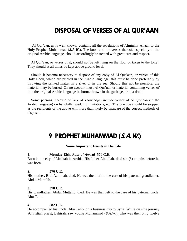## DISPOSAL OF VERSES OF AL QUR'AAN

 Al Qur"aan, as is well known, contains all the revelations of Almighty Allaah to the Holy Prophet Muhammad (*S.A.W*.). The book and the verses thereof, especially in the original Arabic language, should accordingly be treated with great care and respect.

 Al Qur"aan, or verses of it, should not be left lying on the floor or taken to the toilet. They should at all times be kept above ground level.

 Should it become necessary to dispose of any copy of Al Qur"aan, or verses of this Holy Book, which are printed in the Arabic language, this must be done preferably by throwing the printed matter in a river or in the sea. Should this not be possible, the material may be buried. On no account must Al Qur"aan or material containing verses of it in the original Arabic language be burnt, thrown in the garbage, or in a drain.

 Some persons, because of lack of knowledge, include verses of Al Qur"aan (in the Arabic language) on handbills, wedding invitations, etc. The practice should be stopped as the recipients of the above will more than likely be unaware of the correct methods of disposal..

# 9 PROPHET MUHAMMAD (S.A.W.)

#### **Some Important Events in His Life**

1. **Monday 12th.** *Rabi-ul-Awwal* **570 C.E**.

Born in the city of Makkah in Arabia. His father Abdullah, died six (6) months before he was born.

#### **2. 576 C.E.**

His mother, Bibi Aaminah, died. He was then left to the care of his paternal grandfather, Abdul Muttalib.

#### **3. 578 C.E.**

His grandfather, Abdul Muttalib, died. He was then left to the care of his paternal uncle, Abu Talib.

#### **4. 582 C.E.**

He accompanied his uncle, Abu Talib, on a business trip to Syria. While on sthe journey aChristian priest, Bahirah, saw young Muhammad (*S.A.W*.), who was then only twelve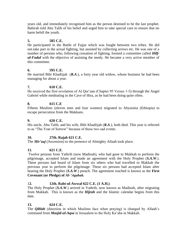years old, and immediately recognised him as the person destined to be the last prophet. Bahirah told Abu Talib of his belief and urged him to take special care to ensure that no harm befell the youth.

#### **5. 585 C.E.**

He participated in the Battle of Fujjar which was fought between two tribes. He did not.take part in the actual fighting, but assisted by collecting arrows etc. He was one of a number of persons who, following cessation of fighting, formed a committee called *Hilful-Fudul* with the objective of assisting the needy. He became a very active member of this committee.

#### **6. 595 C.E.**

He married Bibi Khadiijah (*R.A*.), a forty year old widow, whose business he had been managing for about a year.

#### **7. 610 C.E.**

He received the first revelation of Al Qur'aan (Chapter 95 Verses 1-5) through the Angel Gabriel while meditating in the Cave of Hira, as he had been doing quite often.

#### **8. 615 C.E**

Fifteen Muslims (eleven men and four women) migrated to Abyssinia (Ethiopia) to escape persecution from the Makkans.

#### **9. 620 C.E.**

His uncle, Abu Talib, and his wife, Bibi Khadiijah (*R.A*.), both died. This year is referred to as "The Year of Sorrow" because of these two sad events.

#### **10. 27th. Rajab 621 C.E.**

The *Mir"aaj* (Ascension) to the presence of Almighty Allaah took place.

#### **11. 621 C.E**.

Twelve persons from Yathrib (now Madinah), who had gone to Makkah to perform the pilgrimage, accepted Islam and made an agreement with the Holy Prophet (*S.A.W*.). These persons had heard of Islam from six others who had travelled to Makkah the previous year to perform the pilgrimage. These six persons had accepted Islam after hearing the Holy Prophet (*S.A.W*.) preach. The agreement reached is known as the **First Covenant (or Pledge) of** *Al-"Aqabah.*

#### 1**2. 12th. Rabi-ul-Awwal 622 C.E. (1 A.H.)**

The Holy Prophet (*S.A.W*.) arrived in Yathrib, now known as Madinah, after migrating from Makkah. This is known as the *Hijrah* and the Islamic calendar begins from this date.

#### **13. 624 C.E.**

The *Qiblah* (direction in which Muslims face when praying) is changed by Allaah"s command from *Masjid-ul-Aqsa* in Jerusalem to the Holy Ka"aba in Makkah.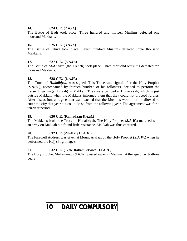#### **14. 624 C.E.** (2 *A.H.*)

The Battle of Badr took place. Three hundred and thirteen Muslims defeated one thousand Makkans.

#### **15. 625 C.E.** (3 *A.H.*)

The Battle of Uhud took place. Seven hundred Muslims defeated three thousand Makkans.

#### **17. 627 C.E. (5** *A.H***.)**

The Battle of *Al-Ahzaab* (the Trench) took place. Three thousand Muslims defeated ten thousand Makkans.

#### **18. 628 C.E.** (6 *A.H.*)

The Truce of *Hudaibiyah* was signed. This Truce was signed after the Holy Prophet *(S.A.W*.), accompanied by thirteen hundred of his followers, decided to perform the Lesser Pilgrimage (Umrah) in Makkah. They were camped at Hudaibiyah, which is just outside Makkah, when the Makkans informed them that they could not proceed further. After discussion, an agreement was reached that the Muslims would not be allowed to enter the city that year but could do so from the following year. The agreement was for a ten-year period.

#### **19. 630 C.E. (Ramadaan 8** *A.H***.)**

The Makkans broke the Truce of Hudaibiyah. The Holy Prophet (*S.A.W*.) marched with an army on Makkah but found little resistance. Makkah was thus captured.

#### **20. 632 C.E. (Zil-Hajj 10** *A.H***.)**

The Farewell Address was given at Mount Arafaat by the Holy Prophet (*S.A.W*.) when he performed the Hajj (Pilgrimage).

#### **21. 632 C.E. (12th. Rabi-ul-Awwal 11** *A.H***.)**

The Holy Prophet Muhammad (*S.A.W*.) passed away in Madinah at the age of sixty-three years

# 10 DAILY COMPULSORY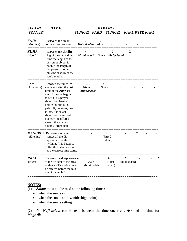| <b>SALAAT</b><br>(PRAYER)   | <b>TIME</b>                                                                                                                                                                                                                                                                                                                          | <i>SUNNAT FARD</i>                           |                         | <b>RAKAATS</b><br><i>SUNNAT</i>    |                               | <b>NAFL WITR NAFL</b> |   |
|-----------------------------|--------------------------------------------------------------------------------------------------------------------------------------------------------------------------------------------------------------------------------------------------------------------------------------------------------------------------------------|----------------------------------------------|-------------------------|------------------------------------|-------------------------------|-----------------------|---|
| <b>FAJR</b><br>(Morning)    | Between the break<br>of dawn and sunrise                                                                                                                                                                                                                                                                                             | $\overline{2}$<br>Mu'akkadah                 | $\overline{2}$<br>Aloud |                                    | $=$                           |                       |   |
| <b>ZUHR</b><br>(Noon)       | Between the declin-<br>ing of the sun and the<br>time the length of the<br>person or object is<br>double the length of<br>the person or object<br>plus the shadow at the<br>sun's zentith.                                                                                                                                           | 4<br>Mu'akkadah                              | 4<br>Silent             | 2<br>Mu'akkadah                    | $\overline{2}$                |                       |   |
| <b>ASR</b><br>(Afternoon)   | Between the times im-<br>mediately after the last<br>limit of the Zuhr sal-<br><i>aat</i> till the sun begins<br>to set. (This prayer<br>should be observed<br>before the sun turns<br>pale}. If, however, one<br>is late, the salaat<br>should not be missed<br>but may ; be offered<br>even if the sun has<br>already lurned pale. | $\overline{4}$<br><b>Ghair</b><br>Mu'akkadah | 4                       | Silent                             |                               |                       |   |
| <b>MAGHRIB</b><br>(Evening) | Between soon after<br>sunset till the dis-<br>appearance of the<br>twilight. (It is better to<br>offer this salaat as soon<br>as the correct time starts.                                                                                                                                                                            |                                              |                         | 3<br>(First 2)<br>aloud)           | 2                             | $\mathbf{2}$          |   |
| <b>ISHA</b><br>(Night)      | Between the disappearance<br>of the twilight to the break<br>of dawn. (This salaat must<br>be offered before the mid-<br>dle of the night.)                                                                                                                                                                                          | 4<br>(Ghair<br>Mu'akkadah                    |                         | $\overline{4}$<br>(First<br>aloud) | $\overline{2}$<br>Mu'akkadah) | $\overline{2}$        | 3 |

#### **NOTES:**

- (1) *Salaat* must not be raed at the following times:
	- when the sun is rising
	- when the sun is at its zenith (high point)
	- when the sun is setting

(**2**) No *Nafl salaat* can be read between the time one reads *Asr* and the time for *Maghrib*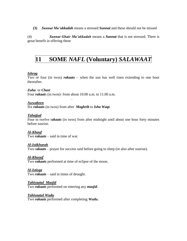**(3)** *Sunnat Mu"akkadah* means a stressed *Sunnat* and these should not be missed

(4) *Sunnat Ghair Mu"akkadah* means a *Sunnat* that is not stressed. There is great benefit in offering these

## **11 SOME** *NAFL* **(Voluntary)** *SALAWAAT*

#### *Ishraq*

Two or four (in twos) *rakaats* – when the sun has well risen extending to one hour thereafter.

#### *Zuha* or *Chast* Four *rakaat*s (in twos)- from about 10.00 a.m. to 11.00 a.m.

.

*Awwabeen* Six *rakaats* (in twos) from after *Maghrib* to *Isha Waqt*.

#### *Tahajjud*

Four to twelve r*akaats* (in twos) from after midnight until about one hour forty minutes before sunrise.

*Al-Khauf* Two *rakaats* – said in time of war.

*Al-Istikharah*

Two r*akaats* – prayer for success said before going to sleep (or also after sunrise).

#### *Al-Khusuf*

Two **r***akaats* performed at time of eclipse of the moon.

#### *Al-Istisqa*

Two *rakaats* – said in times of drought.

#### *Tahiyaatul Masjid*

Two *rakaats* performed on entering any *masjid*.

#### *Tahiyaatul Wudu*

Two *rakaats* performed after completing *Wudu***.**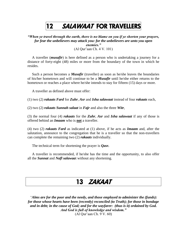# 12 SALAWAAT FOR TRAVELLERS

*"When ye travel through the earth, there is no blame on you if ye shorten your prayers, for fear the unbelievers may attack you: for the unbelievers are unto you open enemies."*  (Al Qur"aan Ch. 4 V. 101)

 A traveller (*musafir*) is here defined as a person who is undertaking a journey for a distance of forty-eight (48) miles or more from the boundary of the town in which he resides.

 Such a person becomes a *Musafir* (traveller) as soon as he/she leaves the boundaries of his/her hometown and will continue to be a *Musafir* until he/she either returns to the hometown or reaches a place where he/she intends to stay for fifteen (15) days or more.

A traveller as defined above must offer:

(1) two (2) *rakaats Fard* for *Zuhr*, *Asr* and *Isha salawaat* instead of four *rakaats* each,

(2) two (2) *rakaats Sunnah salaat* in *Fajr* and also the three *Witr*,

(3) the normal four (4) *rakaats* for the *Zuhr*, *Asr* and *Isha salawaat* if any of those is offered behind an *Imaam* who is **not** a traveller.

(4) two (2) *rakaats Fard* as indicated at (1) above, if he acts as *Imaam* and, after the salutation, announce to the congregation that he is a traveller so that the non-travellers can complete the remaining two (2) *rakaats* individually.

The technical term for shortening the prayer is *Qasr.*

 A traveller is recommended, if he/she has the time and the opportunity, to also offer all the *Sunnat* and *Nafl salawaa*t without any shortening.

## 13 ZAKAAT

*"Alms are for the poor and the needy, and those employed to administer the (funds): for those whose hearts have been (recently) reconciled (to Truth); for those in bondage and in debt; in the cause of God; and for the wayfarer: (thus is it) ordained by God. And God is full of knowledge and wisdom."*  (Al Qur"aan Ch. 9 V. 60)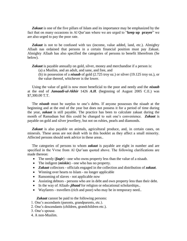*Zakaat* is one of the five pillars of Islam and its importance may be emphasized by the fact that on many occasions in Al Qur"aan where we are urged to "**keep up prayer**" we are also urged to pay the poor rate.

Zakaat is not to be confused with tax (income, value added, land, etc.). Almighty Allaah nas ordained that persons in a certain financial position must pay Zakaat. Almighty Allaah has also specified the categories of persons to benefit ltherefrom (Se below).

*Zakaat* is payable annually on gold, silver, money and merchandise if a person is:

- (a) a Muslim, and an adult, and sane, and free, and
- (b) in possession of a *nisaab* of gold (2.725 troy oz.) or silver (19.125 troy oz.), or the value thereof, whichever is the lower.

 Using the value of gold is now more beneficial to the poor and needy and the *nisaab* at the end of *Jamaadi-ul-Akhir* 1426 *A.H*. (beginning of August 2005 C.E.) was \$7,300.00 T.T.

The *nisaab* must be surplus to one's debts. If anyone possesses the nisaab at the beginning and at the end of the year but does not possess it for a period of time during the year, *zakaat* is still payable. The practice has been to calculate zakaat during the month of Ramadaan but this could be changed to suit one"s convenience. *Zakaat* is payable on gold and silver jewellery, but not on rubies, pearls and diamonds.

 *Zakaat* is also payable on animals, agricultural produce, and, in certain cases, on minerals. These areas are not dealt with in this booklet as they affect a small minority. Affected persons should seek advice in these areas..

 The categories of persons to whom *zakaat* is payable are eight in number and are specified in the Vvrse from Al Qur'aan quoted above. The following clarifications are made thereon:

- The needy (*faqir*) one who owns property less than the value of a nisaab.
- The indigent (*miskin*) one who has no property.
- *Zakaat* collectors officials engaged in the collection and distribution of *zakaat*.
- Winning over hearts to Islam no longer applicable
- Ransoming of slaves not applicable now
- Assisting debtors persons who are in debt and own property less than their debt.
- In the way of Allaah-*jihaad* for religion or educational scholarships..
- Wayfarers travellers (rich and poor) who may be in temporary need..

*Zakaat* cannot be paid to the following persons:

- 1. One"s ascendants (parents, grandparents, etc.).
- 2. One"s descendants (children, grandchildren etc.).
- 3. One"s spouse.
- 4. A non-Muslim.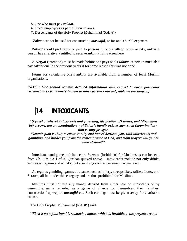- 5. One who must pay *zakaat.*
- 6. One"s employees as part of their salaries.
- 7. Descendants of the Holy Prophet Muhammad (*S.A.W*.)

*Zakaat* cannot be used for constructing *masaajid*, or for one's burial expenses.

*Zakaat* should preferably be paid to persons in one's village, town or city, unless a person has a relative (entitled to receive *zakaat*) living elsewhere.

 A *Neyyat* (intention) must be made before one pays one"s *zakaat*. A person must also pay *zakaat* due in the previous years if for some reason this was not done.

 Forms for calculating one"s *zakaat* are available from a number of local Muslim organisations.

*(NOTE: One should oabtain detailed information with respect to one"s particular circumstances from one"s Imaam or other person knowledgeable on the subject.)*

## **14 INTOXICANTS**

*"O ye who believe! Intoxicants and gambling, (dedication of) stones, and (divination by) arrows, are an abomination, - of Satan"s handiwork: eschew such (abomination), that ye may prosper.*

*"Satan"s plan is (but) to excite enmity and hatred between you, with intoxicants and gambling, and hinder you from the remembrance of God, and from prayer: will ye not then abstain?"*

 Intoxicants and games of chance are *haraam* (forbidden) for Muslims as can be seen from Ch. 5 V. 93-4 of Al Qur"aan quoyed above. Intoxicants include not only drinks such as wine, rum and whisky, but also drugs such as cocaine, marijuana etc.

 As regards gambling, games of chance such as lottery, sweepstakes, raffles, Lotto, and Scratch, all fall under this category and are thus prohibited for Muslims.

 Muslims must not use any money derived from either sale of intoxicants or by winning a game regarded as a game of chance for themselves, their families, construction/ upkeep of *masaajid* etc. Such earnings must be given away for charitable causes.

The Holy Prophet Muhammad (*S.A.W*.) said:

*"When a man puts into his stomach a morsel which is forbidden, his prayers are not*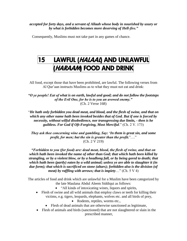*accepted for forty days, and a servant of Allaah whose body in nourished by usury or by what is forbidden becomes more deserving of Hell-fire."*

Consequently, Muslims must not take part in any games of chance.

## 15 LAWFUL (*HALAAL*) AND UNLAWFUL (HARAAM) FOOD AND DRINK

All food, except those that have been prohibited, are lawful. The following verses from Al Qur'aan instructs Muslims as to what they must not eat and drink:

*"O ye people! Eat of what is on earth, lawful and good; and do not follow the footsteps of the Evil One, for he is to you an avowed enemy."* (Ch. 2 Verse 168)

"*He hath only forbidden you dead meat, and blood, and the flesh of swine, and that on which any other name hath been invoked besides that of God. But if one is forced by necessity, without wilful disobedience, nor transgressing due limits, - then is he guiltless. For God if Oft-Forgiving, Most Merciful*." (Ch. 2 V. 173)

*They ask thee concerning wine and gambling, Say: "In them is great sin, and some profit, for men; but the sin is greater than the profit."*…." (Ch. 2 V 219)

*"Forbidden to you (for food) are: dead meat, blood, the flesh of swine, and that on which hath been invoked the name of other than God; that which hath been killed by strangling, or by a violent blow, or by a headlong fall, or by being gored to death; that which hath been (partly) eaten by a wild animal; unless ye are able to slaughter it (in due form); that which is sacrificed on stone (altars); forbidden also is the division (of meat) by raffling with arrows; that is impiety*…" (Ch. 5 V 4)

The articles of food and drink which are unlawful for a Muslim have been categorized by the late Maulana Abdul Aleem Siddiqui as follows:

- "All kinds of intoxicating wines, liquors and spirits,
- Flesh of swine and all wild animals that employ claws or teeth for killing their victims, e.g. tigers, leopards, elephants, wolves etc. and all birds of prey,
	- Rodents, reptiles, worms etc.,
	- Flesh of dead animals that are otherwise sanctioned as legitimate,
- Flesh of animals and birds (sanctioned) that are not slaughtered or slain in the prescribed manner,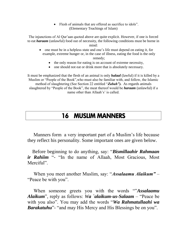Flesh of animals that are offered as sacrifice to idols". (Elementary Teachings of Islam)

The injunctions of Al Qur"aan quoted above are quite explicit. However, if one is forced to eat *haraam* (unlawful) food out of necessity, the following conditions must be borne in mind:

• one must be in a helpless state and one's life must depend on eating it, for example, extreme hunger or, in the case of illness, eating the food is the only

remedy;

- the only reason for eating is on account of extreme necessity,
- one should not eat or drink more that is absolutely necessary.

It must be emphasized that the flesh of an animal is only *halaal* (lawful) if it is killed by a Muslim or "People of the Book",who must also be familiar with, and follow, the Islamic method of slaughtering (See Section 22 entitled "*Zabah").* As regards animals slaughtered by "People of the Book", the meat thereof would be *haraam* (unlawful) if a name other than Allaah's' is called.

## 16 MUSLIM MANNERS

 Manners form a very important part of a Muslim"s life because they reflect his personality. Some important ones are given below.

 Before beginning to do anything, say: "*Bismillaahir Rahmaan ir Rahiim* "- "In the name of Allaah, Most Gracious, Most Merciful".

 When you meet another Muslim, say: "*Assalaamu Alaikum"* – "Peace be with you".

 When someone greets you with the words ""*Assalaamu Alaikum*", reply as follows: *Wa `alaikum-us-Salaam* – "Peace be with you also". You may add the words "*Wa Rahmatullaahi wa Barakatuhu*"- "and may His Mercy and His Blessings be on you".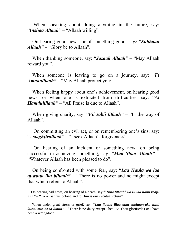When speaking about doing anything in the future, say: "*Inshaa Allaah"* – "Allaah willing".

 On hearing good news, or of something good, say*: "Subhaan Allaah"* – "Glory be to Allaah".

 When thanking someone, say: "*Jazaak Allaah"* – "May Allaah reward you".

 When someone is leaving to go on a journey, say: "*Fi Amaanillaah"* – "May Allaah protect you:.

When feeling happy about one's achievement, on hearing good news, or when one is extracted from difficulties, say: "*Al Hamdulillaah"* – "All Praise is due to Allaah".

 When giving charity, say: "*Fii sabii lillaah"* – "In the way of Allaah".

On committing an evil act, or on remembering one's sins: say: "*Astaghfirullaah*" – "I seek Allaah's forgiveness".

 On hearing of an incident or something new, on being successful in achieving something, say: "*Maa Shaa Allaah"* – "Whatever Allaah has been pleased to do".

 On being confronted with some fear, say: "*Laa Haula wa laa quwatta illa billaah"* – "There is no power and no might except that which refers to Allaah".

 On hearing bad news, on hearing of a death, say*:" Inna lillaahi wa Innaa ilaihi raajiuun"* – "To Allaah we belong and to Him is our eventual return".

 When under great stress or grief, say: "*Laa ilaaha illaa anta subhaan-aka innii kuntu min-az za-limiin"* – "There is no deity except Thee. Be Thou glorified! Lo! I have been a wrongdoer".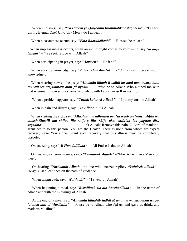When in distress, say: "*Ya Haiyyu ya Qaiyoomu birahmatika astaghe*esu" – "O Thou Living Eternal One! Unto Thy Mercy do I appeal".

When pleasantness occurs, say: "*Fata Baarakallaah"* - "Blessed be Allaah".

 When unpleasantness occurs, when an evil thought comes to your mind, say:*Na"oozu billaah"* – "We seek refuge with Allaah"

When participating in prayer, say: "*Aameen"* – "Be it so".

When seeking knowledge, say "**Rabbi zidnii ilma(n)**" - "O my Lord Increase me in knowledge".

 When wearing new clothes, say: "*Alhamdu lillaah-il-ladhii kasaani maa uwarii bihii "auratii wa atajammalu bihii fii hyaatii"* – "Praise be to Allaah Who clothed me with that wherewith I cover my shame, and wherewith I adorn myself in my life".

When a problem appears, say: "**Tawak kaltu Al-Allaah**" – "I put my trust in Allaah".

When in pain and distress, say: "*Ya Allaah* "–"O Allaah".

 When visiting the sick, say: "*Allaahumma adh-hibil baa"sa Rabb an Naasi ishfihi wa antash-Shaafii laa shifaa illa shifa-a illa, shifa uka, shifa"an laa yughaa diru saqaama" "* – "O Allaah! Remove this pain. O Lord of mankind, grant health to this person. You are the Healer. There is none from whom we expect recovery save You alone. Grant such recovery that this illness may be completely uprooted ".

On sneezing, say: "*Al Hamdulillaah"* – "All Praise is due to Allaah".

 On hearing someone sneeze, say: - "*Yarhamuk Allaah"* – "May Allaah have Mercy on thee".

 On hearing "*Yarhamuk Allaah*" the one who sneezes replies*: "Yahdeek Allaah"* – "May Allaah lead thee on the path of guidance".

When taking oath, say: "*Wal-laahi*" - "I swear by Allaah".

 When beginning a meal, say: "*Bismillaah wa ala Barakatillaah"* – "In the name of Allaah and with the Blessings of Allaah".

 At the end of a meal, say: "*Alhamdu lillaahil- ladhii at`amanaa wa saqaanaa wa ja- `alanaa min-al Muslimiin"* – "Praise be to Allaah who fed us, and gave us drink, and made us Muslims".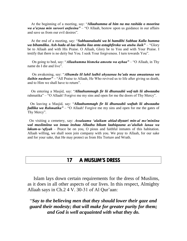At the beginning of a meeting, say: "*Allaahumma al him na ma rashida o moorina wa a"aznaa min suroori anfusina"* – "O Allaah, bestow upon us guidance in our affairs and save us from our evil desires".

 At the end of a meeting, say: "*Subhaanalaahi wa bi hamdihi Subhaa Kalla humma wa bihamdika. Ash-hadu al-laa ilaaha ilaa anta astaghfiroka wa atubu ilaik"* – "Glory be to Allaah and with His Praise. O Allaah, Glory be to You and with Your Praise. I testify that there is no deity but You. I seek Your forgiveness. I turn towards You".

 On going to bed, say: "*Allaahumma bismeka amootu wa ayhaa"* – "O Allaah, in Thy name do I die and live".

 On awakening, say: "*Alhamdu lil lahil ladhii ahyaanaa ba"ada maa amaatanaa wa ilaihin nushoor"* – "All Praise to Allaah, He Who revived us to life after giving us death, and to Him we shall have to return".

 On entering a Masjid, say: "*Allaahummagh fir lii dhunuubii waf-tah lii abwaaaba* rahmatika" – "O Allaah! Forgive me my sins and open for me the doors of Thy Mercy".

 On leaving a Masjid, say: "*Allaahummagh fir lii dhunuubii waftah lii abwaaaba fadlika wa Rahmatika"* – "O Allaah! Forgive me my sins and open for me the gates of Thy Mercy".

 On visiting a cemetery, say: *Assalaamu "alaikum ahlad-diyaari min-al mo"miniina wal muslimiina wa innaa inshaa Allaahu bikum laahiquuna as"alullah lanaa wa lakum-u-"afiyah* – Peace be on you, O pious and faithful inmates of this habitation. Allaah willing, we shall soon join company with you. We pray to Allaah, for our sake and for your sake, that He may protect us from His Torture and Wrath.

### 17 A MUSLIM'S DRESS

 Islam lays down certain requirements for the dress of Muslims, as it does in all other aspects of our lives. In this respect, Almighty Allaah says in Ch.2 4 V. 30-31 of Al Qur'aan:

"*Say to the believing men that they should lower their gaze and guard their modesty; that will make for greater purity for them; and God is well acquainted with what they do.*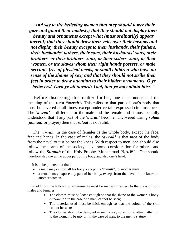*"And say to the believing women that they should lower their gaze and guard their modesty; that they should not display their beauty and ornaments except what (must ordinarily) appear thereof; that they should draw their veils over their bosoms and not display their beauty except to their husbands, their fathers, their husbands" fathers, their sons, their husbands" sons, their brothers" or their brothers" sons, or their sisters" sons, or their women, or the slaves whom their right hands possess, or male servants free of physical needs, or small children who have no sense of the shame of sex; and that they should not strike their feet in order to draw attention to their hidden ornaments. O ye believers! Turn ye all towards God, that ye may attain bliss."*

 Before discussing this matter further, one must understand the meaning of the term *"awrah"*. This refers to that part of one's body that must be covered at all times, except under certain expressed circumstances. The 'awrah' is different for the male and the female and it must be fully understood that if any part of the "*awrah*" becomes uncovered during *salaat* (*namaaz* or prayer) then that *salaat* is not valid.

The 'awrah' in the case of females is the whole body, except the face, feet and hands. In the case of males, the *"awrah"* is that area of the body from the navel to just below the knees. With respect to men, one should also follow the norms of the society, have some consideration for others, and follow the *Sunnah* of the Holy Prophet Muhammad (*S.A.W*.). One should therefore also cover the upper part of the body and also one"s head.

It is to be pointed out that:

- a male may expose all his body, except his "*awrah*", to another male,
- a female may expose any part of her body, except from the navel to the knees, to another woman.

 In addition, the following requirements must be met with respect to the dress of both males and females:

- The clothes must be loose enough so that the shape of the woman's body, or "*awrah"* in the case of a man, cannot be seen;
- The material used must be thick enough so that the colour of the skin cannot be seen;
- The clothes should be designed in such a way so as not to attract attention to the woman"s beauty or, in the case of men, to the men"s stature.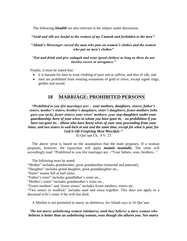The following *Ahadith* are also relevant to the subject under discussion:

#### **"***Gold and silk are lawful to the women of my Ummah and forbidden to the men".*

#### *"Allaah"s Messenger cursed the man who puts on women"s clothes and the women who put on men"s clothes"*

#### *"Eat and drink and give sadaqah and wear (good clothes) as long as these do not involve excess or arrogance."*

Finally, it must be stated that:

- it is haraam for men to wear clothing of pure red or saffron, and also of silk, and
- men are prohibited from wearing ornaments of gold or silver, except signet rings, girdles and sword.

### **18 MARRIAGE: PROHIBITED PERSONS**

*"Prohibited to you (for marriage) are: - your mothers, daughters, sisters; father"s sisters, mother"s sisters; brother"s daughters, sister"s daughters; foster-mothers (who gave you suck), foster sisters; your wives" mothers; your step-daughters under your guardianship, born of your wives to whom you have gone in, - no prohibition if you have not gone in; - (those who have been) wives of your sons proceeding from your loins; and two sisters in wed-lock at one and the same time, except for what is past; for God is Oft-Forgiving Most Merciful;-"*

Al Qur"aan Ch. 4 V. 23

 The above verse is based on the assumption that the male proposes. If a woman proposes, however, the injunction will apply *mutatis mutandis.* The verse will accordingly read: "Prohibited to you (for marriage) are: -"Your fathers, sons, brothers..."

The following must be noted:

"Mother" includes grandmother, great grandmother (maternal and paternal),

"Daughter" includes grand daughter, great granddaughter etc.,

"Sister" means full or half sister,

"Father's sister" includes grandfather's sister etc.,

"Mother's sister" includes grandmother's sister etc.,

"Foster-mothers" and "foster sisters" includes foster-mothers, sisters etc.

"Two sisters in wedlock" includes aunt and niece together. This does not apply to a deceased wife's sister if the wife has died.

A Muslim is not permitted to marry an idolatress, for Allaah says in Al Qur"aan:

#### *"Do not marry unbelieving women (idolaters), until they believe; a slave woman who believes is better than an unbelieving woman, even though she allures you. Nor marry*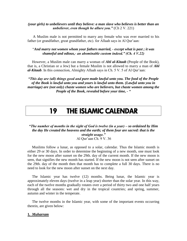#### *(your girls) to unbelievers until they believe: a man slave who believes is better than an unbeliever, even though he allure you."* (Ch 2 V. 221)

 A Muslim male is not permitted to marry any female who was ever married to his father (or grandfather, great grandfather, etc). for Allaah says in Al Qur'aan:

#### "*And marry not women whom your fathers married, - except what is past ; it was shameful and odious,- an abominable custom indeed." (Ch. 4 V.22)*

 However, a Muslim male can marry a woman of *Ahl al-Kitaab* (People of the Book), that is, a Christian or a Jew) but a female Muslim is not allowed to marry a man of *Ahl al-Kitaab*. In this connection, Almighty Allaah says in Ch. 5 V. 5 of Al Qur"aan:

*"This day are (all) things good and pure made lawful unto you. The food of the People of the Book is lawful unto you and yours is lawful unto them. (Lawful unto you in marriage) are (not only) chaste women who are believers, but chaste women among the People of the Book, revealed before your time, - "*

## 19 THE ISLAMIC CALENDAR

#### *"The number of months in the sight of God is twelve (in a year) – so ordained by Him the day He created the heavens and the earth; of them four are sacred: that is the straight usage."* Al Qur"aan Ch. 9 V. 36

 Muslims follow a lunar, as opposed to a solar, calendar. Thus the Islamic month is either 29 or 30 days. In order to determine the beginning of a new month, one must look for the new moon after sunset on the 29th. day of the current month. If the new moon is seen, that signifies the new month has started. If the new moon is not seen after sunset on the 29th. day of the month then that month has to complete a full 30 days. There is no need to look for the new moon after sunset on the next day.

 The Islamic year has twelve (12) months. Being lunar, the Islamic year is approximately eleven days (twelve in a leap year) shorter than the solar year. In this way, each of the twelve months gradually rotates over a period of thirty two and one half years through all the seasons: wet and dry in the tropical countries; and spring, summer, autumn and winter in the temperate.

 The twelve months in the Islamic year, with some of the important events occurring therein, are given below:

#### **1***. Muharram*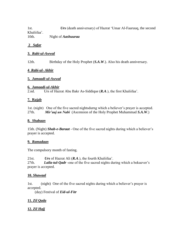1st. *Urs* (death anniversary) of Hazrat "Umar Al-Faaruuq, the second Khaliifaa". 10th. Night of *Aashuuraa*

#### **2** *Safar*

#### **3.** *Rabi-ul-Awwal*

12th. Birthday of the Holy Prophet (*S.A.W*.). Also his death anniversary.

#### **4** *Rabi-ul- Akhir*

#### **5***. Jamaadi-ul-Awwal*

#### **6***. Jamaadi-ul-Akhir*

2.nd. Urs of Hazrat Abu Bakr As-Siddique (*R.A*.), the first Khaliifaa".

#### **7. Rajab**

1st. (night) One of the five sacred nightsdurng which a believer"s prayer is accepted. 27th. *Mir"aaj un Nabi* (Ascension of the Holy Prophet Muhammad *S.A.W*.)

#### **8.** *Shabaan*

15th. (Night) *Shab-e-Baraat* - One of the five sacred nights during which a believer"s prayer is accepted.

#### **9.** *Ramadaan*

The compulsory month of fasting.

21st. *Urs* of Hazrat Ali (*R.A*.), the fourth Khaliifaa". 27th. *Laila-tul-Qadr* -one of the five sacred nights during which a bekuever"s prayer is accepted.

#### **10.** *Shawaal*

1st. (night) One of the five sacred nights during which a believer"s prayer is accepted.

(day) Festival of *Eid-ul-Fitr*

#### **11.** *Zil Qada*

**12.** *Zil Hajj*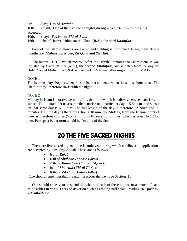9th. (day) Day of *Arafaat.*

10th. (night) One of the five sacred nights during which a believer's prayer is accepted.

10th. (day) Festival of *Eid-ul-Adha*

16th. Urs of Hazrat "Uthmaan Al-Ghani (*R.A*.), the third *Khaliifaa"*.

 Four of the Islamic months are sacred and fighting is prohibited during them. Those months are: *Muharram, Rajab, Zil Qada* **and** *Zil Hajj.* 

 The letters "*A.H*.", which means "After the Hijrah", denotes the Islamic era. It was initiated by Hazrat "Umar (*R.A*.), the second *Khaliifaa*", and is dated from the day the Holy Prophet Muhammad (*S.A.W*.) arrived in Madinah after migrating from Makkah.

NOTE 1

The Islamic "day" begins when the sun has set and ends when the sun is about to set. The Islamic "day" therefore starts with the night.

#### NOTE 2

Midday in Islam is not twelve noon. It is that time which is halfway between sunrise and sunset. To illustrate, let us assume that sunrise on a particular day is 5.54 a.m. and sunset on that same day is 6.30 p.m. The full length of the day is therefore 12 hours and 36 minutes. Half the day is therefore 6 hours 18 minutes. Midday, from the Islamic point of view is therefore sunrise (5.54 a.m.) plus 6 hours 18 minutes, which is equal to 12.12. p.m. Perhaps a better term would be "middle of the day.

# 20 THE FIVE SACRED NIGHTS

There are five sacred nights in the Islamic year during which a believer's supplications are accepted by Almighty Allaah. These are as follows:

- 1st. of *Rajab*,
- 15th of *Shabaan (Shab-e Baraat*),
- 27th. of *Ramadaan* (*Laila-tul-Qadr*),
- 1st. of *Shawwal* (*Eid-ul-Fitr*), and
- 10th. of *Zil Hajj* (*Eid-ul-Adha*).

(One should remember that the night precedes the day. See Section. 18).

 One should endeavour to spend the whole of each of these nights (or as much of each as possible) in various acts of devotion such as reading nafl salaat, reading *Al Qur"aan*, *Zikrullaah* etc.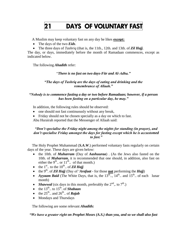# 21 DAYS OF VOLUNTARY FAST

A Muslim may keep voluntary fast on any day he likes **except:**

- The days of the two *Eids*.
- The three days of *Tashriq* (that is, the 11th., 12th. and 13th. of *Zil Hajj*.

The day, or days, immediately before the month of Ramadaan commences, except as indicated below.

The following *Ahadith* refer:

"*There is no fast on two days-Fitr and Al-Adha."*

#### *"The days of Tashriq are the days of eating and drinking and the remembrance of Allaah."*

#### *"Nobody is to commence fasting a day or two before Ramadaan; however, if a person has been fasting on a particular day, he may."*

In addition, the following rules should be observed:

- one should not fast continuously without any break,
- Friday should not be chosen specially as a day on which to fast.

Abu Hurairah reported that the Messenger of Allaah said:

#### *"Don"t specialise the Friday night among the nights for standing (in prayer), and don"t specialise Friday amongst the days for fasting except which he is accustomed to fast."*

 The Holy Prophet Muhammad (*S.A.W*.) performed voluntary fasts regularly on certain days of the year. These days are given below:

- the 10th. of *Muharram* (Day of *Aashuuraa*) . (As the Jews also fasted on the 10th. of *Muharram*, it is recommended that one should, in addition, also fast on either the  $9^{\text{th}}$ .. or  $11^{\text{th}}$ .. of that month.)
- the  $1<sup>st</sup>$ .. to the  $10<sup>th</sup>$ .. of **Zil Hajj**
- the 9<sup>th</sup>. of *Zil Hajj* (Day of '*Arafaat* for those **not** performing the *Hajj*)
- *Ayyaam Baid* (The White Days, that is, the  $13^{th}$ ..,  $14^{th}$ .. and  $15^{th}$ .. of each lunar month)
- *Shawwal* (six days in this month, preferably the  $2<sup>nd</sup>$ , to  $7<sup>th</sup>$ .)
- $\bullet$  the 13<sup>th</sup>.. to 15<sup>th</sup>. of *Shabaan*
- the  $25<sup>th</sup>$ .. and  $26<sup>th</sup>$ .. of **Rajab**
- Mondays and Thursdays

The following are some relevant *Ahadith:*

*"We have a greater right on Prophet Moses (A.S.) than you, and so we shall also fast*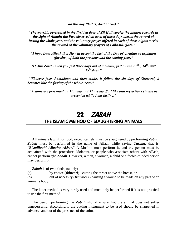*on this day (that is, Aashuuraa)."*

*"The worship performed in the first ten days of Zil Hajj carries the highest rewards in the sight of Allaah; the Fast observed on each of these days merits the reward of fasting the whole year, and the voluntary prayer offered in each of these nights merits the reward of the voluntary prayers of Laila-tul-Qadr."*

*"I hope from Allaah that He will accept the fast of the Day of "Arafaat as expiation (for sins) of both the previous and the coming year."*

*"O Abu Zarr! When you fast three days out of a month, fast on the 13th.., 14th. and 15th.days."*

*"Whoever fasts Ramadaan and then makes it follow the six days of Shawwal, it becomes like the fasting of the whole Year."*

*"Actions are presented on Monday and Thursday. So I like that my actions should be presented while I am fasting."*

## 22 ZABAH

### THE ISLAMIC METHOD OF SLAUGHTERING ANIMALS

 All animals lawful for food, except camels, must be slaughtered by performing *Zabah*. *Zabah* must be performed in the name of Allaah while saying *Tasmia*, that is, "*Bismillaahi Allaahu Akbar*." A Muslim must perform it, and the person must be acquainted with the procedure. Idolaters, or people who associate others with Allaah, cannot perform t;he *Zabah*. However, a man, a woman, a child or a feeble-minded person may perform it.

*Zabah* is of two kinds, namely:

(a) by choice (*Ikhteari*) - cutting the throat above the breast, or

(b) out of necessity (*Iztiraree*) - causing a wound to be made on any part of an animal"s body.

 The latter method is very rarely used and must only be performed if it is not practical to use the first method.

 The person performing the *Zabah* should ensure that the animal does not suffer unnecessarily. Accordingly, the cutting instrument to be used should be sharpened in advance, and out of the presence of the animal.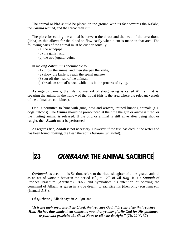The animal or bird should be placed on the ground with its face towards the Ka"aba, the *Tasmia* recited, and the throat then cut.

 The place for cutting the animal is between the throat and the head of the breastbone (libba) as this allows for the blood to flow easily when a cut is made in that area. The following parts of the animal must be cut horizontally:

(a) the windpipe,

(b) the gullet, and

(c) the two jugular veins.

In making *Zabah*, it is abominable to:

(1) throw the animal and then sharpen the knife,

(2) allow the knife to reach the spinal marrow,

(3) cut off the head of the animal,

(4) break an animal"s neck while it is in the process of dying.

 As regards camels, the Islamic method of slaughtering is called *Nahre*: that is, spearing the animal in the hollow of the throat (this is the area where the relevant vessels of the animal are combined).

 One is permitted to hunt with guns, bow and arrows, trained hunting animals (e.g. dogs, falcons). The *tasmia* should be pronounced at the time the gun or arrow is fired, or the hunting animal is released. If the bird or animal is still alive after being shot or caught, then *Zabah* must be performed.

 As regards fish, *Zabah* is not necessary. However, if the fish has died in the water and has been found floating, the flesh thereof is *haraam* (unlawful).

## 23 QURBAANI: THE ANIMAL SACRIFICE

*Qurbaani*, as used in this Section, refers to the ritual slaughter of a designated animal as an act of worship between the period  $10^{th}$ , to  $12^{th}$ . of **Zil Hajj**. It is a **Sunnah** of Prophet Ibraahiim (Abraham) –*A.S*.- and symbolises his intention of obeying the command of Allaah, as given in a true dream, to sacrifice his (then only) son Ismaa-iil (Ishmael *A.S*.).

Of *Qurbaani*, Allaah says in Al Qur'aan:

*"It is not their meat nor their blood, that reaches God: it is your piety that reaches Him: He has thus made them subject to you, that ye may glorify God for His guidance to you: and proclaim the Good News to all who do right."* (Ch. 22 V. 37)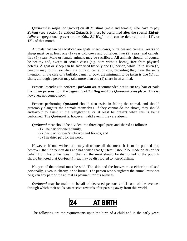*Qurbaani* is *wajib* (obligatory) on all Muslims (male and female) who have to pay Zakaat (see Section 13 entitled Zakaat). It must be performed after the special *Eid-ul-Adha* congregational prayer on the l0th,. **Zil Hajj**, but it can be deferred to the  $11<sup>th</sup>$  or  $12<sup>th</sup>$ , of that month.

 Animals that can be sacrificed are goats, sheep, cows, buffaloes and camels. Goats and sheep must be at least one (1) year old; cows and buffaloes, two (2) years; and camels, five (5) years. Male or female animals may be sacrificed. All animals should, of course, be healthy and, except in certain cases (e.g. born without horns), free from physical defects. A goat or sheep can be sacrificed by only one (1) person, while up to seven (7) persons may join in sacrificing a buffalo, camel or cow, providing they have the same intention. In the case of a buffalo, camel or cow, the minimum to be taken is one (1) full share, although a person may take more than one (1) share in an animal.

 Persons intending to perform *Qurbaani* are recommended not to cut any hair or nails from their persons from the beginning of *Zil Hajj* until the *Qurbaani* takes place. This is, however, not compulsory.

 Persons performing *Qurbaani* should also assist in felling the animal, and should preferably slaughter the animals themselves. If they cannot do the above, they should endeavour to assist in the slaughtering, or at least be present when this is being performed. The *Qurbaani* is, however, valid even if they are absent.

 *Qurbaani* meat should be divided into three equal parts and shared as follows:

- (1) One part for one"s family,
- (2) One part for one"s relatives and friends, and
- (3) The third part for the poor.

 However, if one wishes one may distribute all the meat. It is to be pointed out, however that if a person dies and has willed that *Qurbaani* should be made on his or her behalf from his or her wealth, then all the meat should be distributed to the poor. It should be noted that *Qurbaani* meat may be distributed to non-Muslims.

 No part of the animal must be sold. The skin and the hooves must either be utilised personally, given in charity, or be buried. The person who slaughters the animal must not be given any part of the animal as payment for his services.

 *Qurbaani* may be made on behalf of deceased persons and is one of the avenues through which their souls can receive rewards after passing away from this world.



The following are the requirements upon the birth of a child and in the early years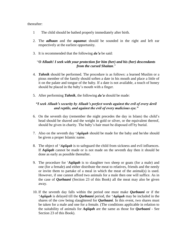#### thereafter:

- 1 The child should be bathed properly immediately after birth.
- 2. The *adhaan* and the *aqaama*t should be sounded in the right and left ear respectively at the earliest opportunity.
- 3. It is recommended that the following *du"a* be said:

#### "*O Allaah! I seek with your protection for him (her) and his (her) descendants from the cursed Shaitan*."

- 4. *Tahnik* should be performed. The procedure is as follows: a learned Muslim or a pious member of the family should soften a date in his mouth and place a little of it on the palate and tongue of the baby. If a date is not available, a touch of honey should be placed in the baby"s mouth with a finger.
- 5. After performing *Tahnik*, the following *du"a* should be made:

#### *"I seek Allaah"s security by Allaah"s perfect words against the evil of every devil and reptile, and against the evil of every malicious eye."*

- 6. On the seventh day (remember the night precedes the day in Islam) the child"s head should be shaved and the weight in gold or silver, or the equivalent thereof, should be given in charity. The baby"s hair must be disposed off by burial.
- 7. Also on the seventh day *"Aqiiqah* should be made for the baby and he/she should be given a proper Islamic name.
- 8. The object of *"Aqiiqah* is to safeguard the child from sickness and evil influences. If *Aqiiqah* cannot be made or is not made on the seventh day then it should be done as early as possible thereafter.
- 9. The procedure for "*Aqiiqah* is to slaughter two sheep or goats (for a male) and one (for a female) and either distribute the meat to relatives, friends and the needy or invite them to partake of a meal in which the meat of the animal(s) is used. However, if one cannot afford two animals for a male then one will suffice. As in the case of *Qurbaani* (Section 23 of this Book) all the meat may also be given away.
- 10. If the seventh day falls within the period one must make *Qurbaani* or if the *"Aqiiqah* is delayed till the *Qurbaani* period, the *"Aqiiqah* may be included in the shares of the cow being slaughtered for *Qurbaani*. In this event, two shares must be taken for a male and one for a female. (The conditions applicable in relation to the suitability of animals for *Aqiiqah* are the same as those for *Qurbaani* - See Section 23 of this Book).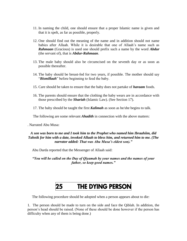- 11. In naming the child, one should ensure that a proper Islamic name is given and that it is spelt, as far as possible, properly.
- 12. One should find out the meaning of the name and in addition should not name babies after Allaah. While it is desirable that one of Allaah"s name such as *Rahmaan* (Gracious) is used one should prefix such a name by the word *Abdur*  (the servant of), that is *Abdur-Rahmaan*.
- 13. The male baby should also be circumcised on the seventh day or as soon as possible thereafter.
- 14. The baby should be breast-fed for two years, if possible. The mother should say "*Bismillaah*" before beginning to feed the baby.
- 15. Care should be taken to ensure that the baby does not partake of *haraam* foods.
- 16. The parents should ensure that the clothing the baby wears are in accordance with those prescribed by the *Shariah* (Islamic Law). (See Section 17).
- 17. The baby should be taught the first *Kalimah* as soon as he/she begins to talk.

The following are some relevant *Ahadith* in connection with the above matters:

. Narrated Abu Musa:

#### *A son was born to me and I took him to the Prophet who named him Ibraahiim, did Tahnik for him with a date, invoked Allaah to bless him, and returned him to me. (The narrator added: That was Abu Musa"s eldest son)."*

Abu Darda reported that the Messenger of Allaah said:

*"You will be called on the Day of Qiyamah by your names and the names of your father, so keep good names."*

# 25 THE DYING PERSON

The following procedure should be adopted when a person appears about to die:

1. The person should be made to turn on the side and face the Qiblah. In addition, the person"s head should be raised. (None of these should be done however if the person has difficulty when any of them is being done.)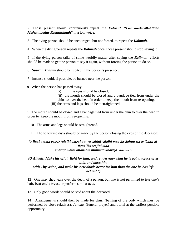2. Those present should continuously repeat the *Kalimah "Laa ilaaha-ill*-*Allaah Muhammadur Rasuulullaah*" in a low voice.

3 The dying person should be encouraged, but not forced, to repeat the *Kalimah*.

4 When the dying person repeats the *Kalimah* once, those present should stop saying it.

5 If the dying person talks of some worldly matter after saying the *Kalimah*, efforts should be made to get the person to say it again, without forcing the person to do so.

6 *Suurah Yaasiin* should be recited in the person"s presence.

7 Incense should, if possible, be burned near the person.

8 When the person has passed away:

- (i) the eyes should be closed;
- (ii) the mouth should be closed and a bandage tied from under the
- chin to over the head in order to keep the mouth from re-opening,
- (iii) the arms and legs should be  $+$  straightened.

9 The mouth should be closed and a bandage tied from under the chin to over the head in order to keep the mouth from re-opening;

- 10 The arms and legs should be straightened.
- 11 The following du"a should be made by the person closing the eyes of the deceased:

#### *"Allaahumma yassir "alaihi amrahuu wa sahhil "alaihi maa ba"dahuu wa as"kdhu biliqaa"ika waj"al maa kharaja ilaihi khair-am mimmaa kharaja "an- hu".*

#### *(O Allaah! Make his affair light for him, and render easy what he is going toface after this, and bless him with Thy vision, and make his new abode better for him than the one he has left behind.")*

12 One may shed tears over the death of a person, but one is not permitted to tear one"s hair, beat one's breast or perform similar acts.

13 Only good words should be said about the deceased.

14 Arrangements should then be made for ghusl (bathing of the body which must be performed by close relatives), *Janaza* (funeral prayer) and burial at the earliest possible opportunity.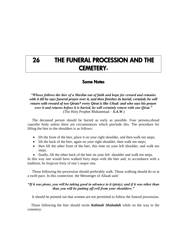## 26 THE FUNERAL PROCESSION AND THE CEMETERY-

### Some Notes

*"Whoso follows the bier of a Muslim out of faith and hope for reward and remains with it till he says funeral prayer over it, and then finishes its burial, certainly he will return with reward of two Qirats\* every Qirat is like Uhud: and who says his prayer over it and returns before it is buried, he will certainly return with one Qirat."* (The Holy Prophet Muhammad – *S.A.W*.)

 The deceased person should be buried as early as possible. Four persons,shoud caarythe body unless there are circumstances which preclude this. The procedure for lifting the bier to the shoulders is as follows:

- lift the front of the bier, place it on your right shoulder, and then walk ten steps;
- lift the back of the bier, again on your right shoulder, then walk ten steps;
- then lift the other front of the bier, this time on your left shoulder, and walk ten steps.
- finally, lift the other back of the bier on your left shoulder and walk ten steps.

In this way one would have walked forty steps with the bier and, in accordance with a tradition, be forgiven forty of one"s major sins.

 Those following the procession should preferably walk. Those walking should do so at a swift pace. In this connection the Messenger of Allaah said:

#### *"If it was pious, you will be taking good in advance to it (piety); and if it was other than that, you will be putting off evil from your shoulders."*

It should be pointed out that women are not permitted to follow the funeral procession.

 Those following the bier should recite *Kalimah Shahadah* while on the way to the cemetery: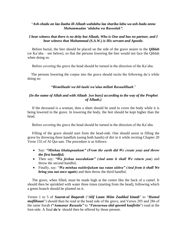#### "*Ash-shadu an laa ilaaha ill-Allaah wahdahu laa sharika lahu wa ash-hadu anna Muhammadan "abduhu wa Rasooluh".*

#### *I bear witness that there is no deity but Allaah, Who is One and has no partner, and I bear witness that Muhammad (S.A.W.) is His servant and Apostle.*

 Before burial, the bier should be placed on the side of the grave nearer to the *Qiblah* (or Ka"aba – see below), so that the persons lowering the bier would not face the Qiblah when doing so.

Before covering the grave the head should be turned in the direction of the Ka"aba.

 The persons lowering the corpse into the grave should recite the following du"a while doing so:

#### *"Bismillaahi wa bil-laahi wa"alaa millati Rasuulillaah*."

#### *(In the name of Allah and with Allaah [we bury] according to the way of the Prophet of Allaah.)*

 If the deceased is a woman, then a sheet should be used to cover the body while it is being lowered in the grave. In lowering the body, the feet should be kept higher than the head.

Before covering the grave the head should be turned in the direction of the Ka"aba.

 Filling of the grave should start from the head-side. One should assist in filling the grave by throwing three handfuls (using both hands) of dirt in it while reciting Chapter 20 Verse 155 of Al Qur-aan. The procedure is as follows:

- Say: *"Minhaa khalaqnaakum" (From the earth did We create you) and throw the first handful;*
- Then say: *"Wa feehaa nueedukum" (And unto it shall We return you*) and throw the second handful;
- Finally, say: "*Wa minhaa nukhrijukum taa ratan ukhra" (And from it shall We bring you out once again*) and then throw the third handful.

 The grave, when filled, must be made high at the centre like the back of a camel. It should then be sprinkled with water three times (starting from the head), following which a green branch should be planted on it.

Verses 1 to 5 of *Suurat-ul Baqarah* ("*Alif Laam Miim Zaalikal kitaab*" to "*Humul muflihuun*") should then be read at the head side of the grave, and Verses 285 and 286 of the same Surah *("Aamanar Rasuulu"* to *"Fansurnaa alal qawmil kaafiriin*") read at the foot-side. A final *du"a* should then be offered by those present.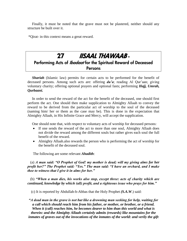Finally, it must be noted that the grave must not be plastered, neither should any structure be built over it.

\*Qirat- in this context means a great reward.

## 27 IISAAL THAWAAB - Performing Acts of *Ibadaat* for the Spiritual Reward of Deceased Persons

 *Shariah* (Islamic law) permits for certain acts to be performed for the benefit of deceased persons. Among such acts are: offering *du'a*; reading Al Qur'aan; giving voluntary charity; offering optional prayers and optional fasts; performing *Hajj, Umrah, Qurbaani.*

 In order to send the reward of the act for the benefit of the deceased, one should first perform the act. One should then make supplication to Almighty Allaah to convey the reward to be derived from the particular act of worship to the soul of the deceased (naming him/ her or them as the case may be). This is done in the expectation that Almighty Allaah, in His Infinite Grace and Mercy, will accept the supplication.

One should note that, with respect to voluntary acts of worship for deceased persons:

- If one sends the reward of the act to more than one soul, Almighty Allaah does not divide the reward among the different souls but rather gives each soul the full benefit of the reward.
- Almighty Allaah.also rewards the person who is performing the act of worship for the benefit of the deceased soul.

The following are some relevant *Ahadith*:

 (a) *A man said: "O Prophet of God! my mother is dead; will my giving alms for her profit her?" The Prophet said: "Yes." The man said: "I have an orchard, and I make thee to witness that I give it in alms for her."*

 (b) *"When a man dies, his works also stop, except three: acts of charity which are continued, knowledge by which (all) profit, and a righteous issue who prays for him."*

(c) It is reported by Abdullah-b-Abbas that the Holy Prophet *(S.A.W*.) said:

*"A dead man in the grave is not but like a drowning man seeking for help, waiting for a call which should reach him from his father, or mother, or brother, or a friend. When it (call) reaches him, he becomes dearer to him than this world and what is therein: and the Almighty Allaah certainly admits (rewards) like mountains for the inmates of graves out of the invocations of the inmates of the world: and verily the gift*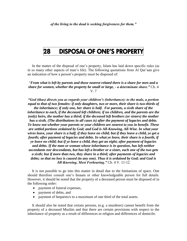## 28 DISPOSAL OF ONE'S PROPERTY

 In the matter of the disposal of one"s property, Islam has laid down specific rules (as in so many other aspects of man"s life). The following quotations from Al Qur"aan give an indication of how a person's property must be disposed of:

"*From what is left by parents and those nearest related there is a share for men and a share for women, whether the property be small or large, - a determinate share."* Ch. 4 V. 7

*"God (thus) directs you as regards your children"s (inheritance): to the male, a portion equal to that of two females: if only daughters, two or more, their share is two-thirds of the inheritance; if only one, her share is half. For parents, a sixth share of the inheritance to each, if the deceased left children; if no children, and the parents are the* 

*(only) heirs, the mother has a third; if the deceased left brothers (or sisters) the mother has a sixth. (The distributions in all cases is) after the payment of legacies and debts. Ye know not whether your parents or your children are nearest to you in benefit. These are settled portions ordained by God; and God is All-Knowing, All-Wise. In what your wives leave, your share is a half, if they leave no child; but if they leave a child, ye get a fourth; after payment of legacies and debts. In what ye leave, their share is a fourth, if ye leave no child; but if ye leave a child, they get an eight; after payment of legacies and debts. If the man or woman whose inheritance is in question, has left neither ascendants nor descendants, but has left a brother or a sister, each one of the two gets a sixth; but if more than two, they share in a third; after payments of legacies and debts; so that no loss is caused (to any one). Thus it is ordained by God; and God is All-Knowing, Most Forbearing."* Ch. 4 V. 11-12

 It is not possible to go into this matter in detail due to the limitations of space. One should therefore consult one"s Imaam or other knowledgeable person for full details. However, it should be noted that the property of a deceased person must be disposed of in the following order:

- payment of funeral expenses,
- payment of debts, and
- payment of bequests/s to a maximum of one third of the total assets.

 It should also be noted that certain persons, (e.g. a murderer) cannot benefit from the property of a deceased Muslim and that there are certain provisions with respect to the inheritance of property as a result of differences in religion and differences of domicile.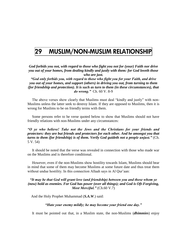## 29 MUSLIM/NON-MUSLIM RELATIONSHIP

*God forbids you not, with regard to those who fight you not for (your) Faith nor drive you out of your homes, from dealing kindly and justly with them: for God loveth those who are just.*

*"God only forbids you, with regard to those who fight you for your Faith, and drive you out of your homes, and support (others) in driving you out, from turning to them (for friendship and protection). It is such as turn to them (in these circumstances), that do wrong."* Ch. 60 V. 8-9

 The above verses show clearly that Muslims must deal "kindly and justly" with non-Muslims unless the latter seek to destroy Islam. If they are opposed to Muslims, then it is wrong for Muslims to be on friendly terms with them.

 Some persons refer to he verse quoted below to show that Muslims should not have friendly relations with non-Muslims under any circumstances:

*"O ye who believe! Take not the Jews and the Christians for your friends and protectors: they are but friends and protectors for each other. And he amongst you that turns to them (for friendship) is of them. Verily God guideth not a people unjust."* (Ch. 5 V. 54)

 It should be noted that the verse was revealed in connection with those who made war on the Muslims and is therefore conditional.

 However, even if the non-Muslims show hostility towards Islam, Muslims should bear in mind that some of them may become Muslims at some future date and thus treat them without undue hostility. In this connection Allaah says in Al Our'aan:

*"It may be that God will grant love (and friendship) between you and those whom ye (now) hold as enemies. For God has power (over all things); and God is Oft-Forgiving, Most Merciful."* (Ch.60 V.7)

And the Holy Prophet Muhammad (*S.A.W*.) said:

*"Hate your enemy mildly; he may become your friend one day."*

It must be pointed out that, in a Muslim state, the non-Muslims (*dhimmies*) enjoy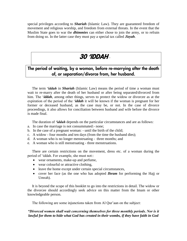special privileges according to *Shariah* (Islamic Law). They are guaranteed freedom of movement and religious worship, and freedom from external threats. In the event that the Muslim State goes to war the *dhimmies* can either chose to join the army, or to refrain from doing so. In the latter case they must pay a special tax called *Jizyah*.

## 30 'IDDAH–

## The period of waiting, by a woman, before re-marrying after the death of, or separation/divorce from, her husband.

 The term *"iddah* in *Shariah* (Islamic Law) means the period of time a woman must wait to re-marry after the death of her husband or after being separated/divorced from him. The "*iddah*, among other things, serves to protect the widow or divorcee as at the expiration of the period of the "*iddah* it will be known if the woman is pregnant for her former or deceased husband, as the case may be, or not. In the case of divorce proceedings, it also allows for conciliation between husband and wife before the divorce is made final.

The duration of *"iddah* depends on the particular circumstances and are as follows:

- a. In case the marriage is not consummated:- none;
- b. In the case of a pregnant woman: until the birth of the child;
- c. A widow four months and ten days (from the time the husband dies);
- d. A woman who is no longer menstruating three months; and
- e. A woman who is still menstruating three menstruations.

 There are certain restrictions on the movement, dress etc. of a woman during the period of "iddah. For example, she must not::

- wear ornaments, make-up and perfume,
- wear colourful or attractive clothing,
- leave the home except under certain special circumstances,
- cover her face (as the one who has adopted *Ihram* for performing the Hajj or Umrah).

 It is beyond the scope of this booklet to go into the restrictions in detail. The widow or the divorcee should accordingly seek advice on this matter from the Imam or other knowledgeable person.

The following are some injunctions taken from Al Qur'aan on the subject:

#### *"Divorced women shall wait concerning themselves for three monthly periods. Nor is it lawful for them to hide what God has created in their wombs, if they have faith in God*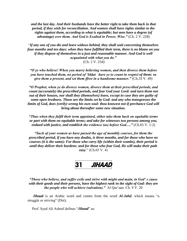*and the last day. And their husbands have the better right to take them back in that period, if they wish for reconciliation. And women shall have rights similar to the rights against them, according to what is equitable; but men have a degree (of advantage) over them. And God is Exalted in Power, Wise."* (Ch. 2 V. 228)

"*If any one of you die and leave widows behind, they shall wait concerning themselves four months and ten days: when they have fulfilled their term, there is no blame on you if they dispose of themselves in a just and reasonable manner. And God is well acquainted with what you do."* (Ch. 2 V. 234)

*"O ye who believe! When you marry believing women, and then divorce them before you have touched them, no period of "Iddat have ye to count in respect of them: so give them a present, and set them ffree in a handsome manner."* (Ch.33 V. 49)

*"O Prophet, when ye do divorce women, divorce them at their prescribed periods, and count (accurately) the prescribed periods, and fear God your Lord: and turn them not out of their houses, nor shall they (themselves) leave, except in case they are guilty of some open lewdness. Those are the limits set by God: and any who transgresses the limits of God, does (verily) wrong his own soul: thou knowest not if perchance God will bring about thereafter some new situation.*

*"Thus when they fulfil their term appointed, either take them back on equitable terms or part with them on equitable terms; and take for witnesses two persons among you, endued with justice, and establish the evidence (as) before God…."* (Ch.65 V. 1-2)

*"Such of your women as have passed the age of monthly courses, for them the prescribed period, if you have any doubts, is three months, and for those who have no courses (it is the same): For those who carry life (within their wombs), their period is until they deliver their burdens: and for those who fear God, He will make their path easy*." (Ch.65 V. 4)

# 31 *JIHAAD*

*"Those who believe, and suffer exile and strive with might and main, in God" s cause with their goods and their persons, have the highest rank in the sight of God: they are the people who will achieve (salvation).*" Al Qur'aan Ch. 9 V. 20

 *Jihaad* is an Arabic word and comes from the word *Al-Jahd*, which means "a struggle or striving" (Doi).

Prof. Syed Ali Ashraf defines "*Jihaad*" as: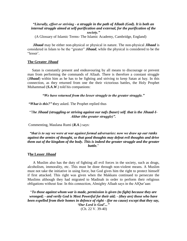#### *"Literally, effort or striving - a struggle in the path of Allaah (God). It is both an internal struggle aimed at self-purification and external, for the purification of the society."*

(A Glossary of Islamic Terms- The Islamic Academy, Cambridge, England)

 *Jihaad* may be either non-physical or physical in nature. The non-physical *Jihaad* is considered in Islam to be the "greater" *Jihaad*, while the physical is considered to be the "lesser".

#### **The Greater** *Jihaad*

 Satan is constantly present and endeavouring by all means to discourage or prevent man from performing the commands of Allaah. There is therefore a constant struggle (*Jihaad*) within him as he has to be fighting and striving to keep Satan at bay. In this connection, as they returned from one the their victorious battles, the Holy Prophet Muhammad (*S.A.W*.) told his companions:

*"We have returned from the lesser struggle to the greater struggle."*

*"What is this?"* **t**hey asked. The Prophet replied thus

#### "T*he Jihaad (struggling or striving against our nafs (baser) self. that is the Jihaad-I-Akbar (the greater struggle)".*

Commenting, Maulana Rumi (*R.A*.) says:

#### *"that is to say we were at war against formal adversaries: now we draw up our ranks against the armies of thought, so that good thoughts may defeat evil thoughts and drive them out of the kingdom of the body. This is indeed the greater struggle and the greater battle.*"

#### **The Lesser** *Jihaad*

 A Muslim also has the duty of fighting all evil forces in the society, such as drugs, alcoholism, immorality, etc. This must be done through non-violent means. A Muslim must not take the initiative in using force, but God gives him the right to protect himself if first attacked. This right was given when the Makkans continued to persecute the Muslims although they had migrated to Madinah in order to perform their religious obligations without fear. In this connection, Almighty Allaah says in the AlQur"aan:

"*To those against whom war is made, permission is given (to fight) because they are wronged; - and verily God is Most Powerful for their aid; - (they are) those who have been expelled from their homes in defence of right - (for no cause) except that they say, "Our Lord is God"..."*

(Ch. 22 V. 39-40)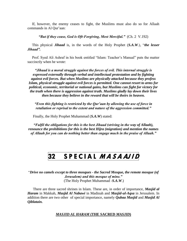If, however, the enemy ceases to fight, the Muslims must also do so for Allaah commands in Al Qur"aan:

*"But if they cease, God is Oft-Forgiving, Most Merciful."* (Ch. 2 V.192)

 This physical *Jihaad* is, in the words of the Holy Prophet (*S.A.W*.), "*the lesser Jihaad".*

 Prof. Syed Ali Ashraf in his book entitled "Islam: Teacher"s Manual" puts the matter succinctly when he wrote:

*"Jihaad is a moral struggle against the forces of evil. This internal struggle is expressed externally through verbal and intellectual protestation and by fighting against evil forces. But when Muslims are physically attacked because they profess Islam, physical struggle against evil forces is permitted. One cannot resort to arms for political, economic, territorial or national gains, but Muslims can fight for victory for the truth when there is aggression against truth. Muslims gladly lay down their lives then because they believe in the reward that will be theirs in heaven.*

*"Even this fighting is restricted by the Qur"aan by allowing the use of force in retaliation or reprisal to the extent and nature of the aggression committed."*

Finally, the Holy Prophet Muhammad (*S.A.W*) stated:

*"Fulfil the obligations for this is the best Jihaad (striving in the way of Allaah), renounce the prohibitions for this is the best Hijra (migration) and mention the names of Allaah for you can do nothing better than engage much in the praise of Allaah."*

# 32 SPECIAL MASAAJID

"*Drive no camels except to three mosques - the Sacred Mosque, the remote mosque (of Jerusalem) and this mosque of mine."* (The Holy Prophet Muhammad -*S.A.W*.)

 There are three sacred shrines in Islam. These are, in order of importance, *Masjid al Haram* in Makkah, *Masjid Al Nabawi* in Madinah and *Masjid-ul-Aqsa* in Jerusalem. In addition there are two other of special importance, namely *Qubaa Masjid* and *Masjid Al Qiblatain.*

#### *MASJID AL HARAM* **(THE SACRED** *MASJID***)**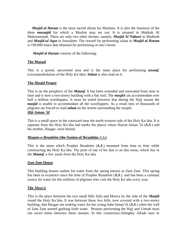*Masjid al Haram* is the most sacred shrine for Muslims. It is also the foremost of the three *masaajid* for which a Muslim may set out. It is situated in Makkah Al Mukarammah. There are only two other shrines, namely, *Masjid Al Nabawi* in Madinah and *Masjid-ul Aqsa* in Jerusalem. The reward for performing salaat in *Masjid al Haram* is 100,000 times that obtained for performing at one"s home.

 *Masjid al Haram* consists of the following:

#### **The Mataaf**

This is a paved, uncovered area and is the main place for performing *tawaaf*, (circumambulation of the Holy Ka"aba). *Salaat* is also read on it.

#### **The** *Masjid* **Proper**

This is on the periphery of the *Mataaf*. It has been extended and renovated from time to time and is now a two-storey building with a flat roof. The *masjid* can accommodate over half a million worshippers. It must be noted however that during the Hajj season the *masjid* is unable to accommodate all the worshippers. As a result tens of thousands of pilgrims are forced to read *salaat* on the streets surrounding the masjid. *Hijr Ismaa-"iil*

This is a small space in the courtyard near the north-western side of the Holy Ka"aba. It is separate from the Holy Ka"aba and marks the places where Hazrat Ismaa-"iil (*A.S*.) and his mother, Haagar, were buried.

#### *Muqam-e-Ibraahiim* **(the Station of Ibraahiim** *A.S***.)**

This is the stone which Prophet Ibraahiim (*A.S*.) mounted from time to time while constructing the Holy Ka"aba. The print of one of his feet is on this stone, which lies in the *Mataaf*, a few yards from the Holy Ka"aba.

#### *Zam Zam* **House**

This building houses outlets for water from the spring known as Zam Zam. This spring has been in existence since the time of Prophet Ibraahiim (*A.S*.). and has been a constant source for water for the millions of pilgrims who visit the Holy Ka'aba every year.

#### **The** *Masa"a*

This is the place between the two small hills Safa and Marwa by the side of the *Masjid* round the Holy Ka"aba. It was between these two hills, now covered with a two-storey building, that Haagar ran seeking water for her young babe Ismaa"iil (*A.S*.) when the well of Zam Zam started gushing forth water. Persons performing the Hajj and Umrah must run seven times between these mounts. In this connection.Almighty Allaah says in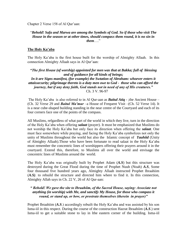Chapter 2 Verse 158 of Al Qur"aan:

#### "*Behold! Safa and Marwa are among the Symbols of God. So if those who visit The House in the season or at other times, should compasx them round, it is no sin in them*…."

#### **The Holy Ka"aba**

The Holy Ka"aba is the first house built for the worship of Almighty Allaah. In this connection Almighty Allaah says in Al Qur"aan:

#### *"The first House (of worship) appointed for men was that at Bakka; full of blessing and of guidance for all kinds of beings;* In it are Signs manifest, (for example) the Swtation of Abraham: whoever enters it *attaissecurity; pilgrimage thereto is a duty men owe to God - those who can afford the journey, but if any deny faith, God stands not in need of any of His creatures."* Ch. 3 V. 96-97

The Holy Ka"aba is also referred to in Al Qur-aan as *Baitul Atiq* - ;the Ancient House – (Ch. 32 Verse 29 and *Baitul Ma"mur* –a House of Frequent Visit –(Ch. 52 Verse 14). It is a near cube-shaped building standing in the near centre of the Courtyard and each of its four corners face one of the points of the compass.

All Muslims, refgardless of what part of the world in which they live, turn in the direction of the Holy Ka"aba when offering *salaat* (prayer). It must be emphasized that Muslims do not worship the Holy Ka"aba but only face its direction when offering the *salaat*. One must face somewhere while praying, and facing the Holy Ka"aba symbolizes not only the unity of Muslims throughout the world but also the Islamic concept of *Tauhiid* (Unity of Almighty Allaah).Those who have been fortunate to read salaat in the Holy Ka"aba must remember the concentric lines of worshippers offering their prayers around it in the courtyard. Extend this, therefore, to Muslims all over the world and envisage the concentric lines of Muslims around the world.

The Holy Ka"aba was originally built by Prophet Adam (*A.S*) but this structure was destroyed during the Great Flood during the time of Prophet Nuuh (Noah) *A.S*, Some four thousand five hundred years ago, Almighty Allaah instructed Prophet Ibraahiim (*A.S)*. to rebuild the structure and directed him where to find it. In this connection, Almighty Allah says in Ch. 22 V, 26 of Al Qur-aan:

#### *" Behold! We gave the site to Ibraahiim, of the Sacred House, saying: Associate not anything (in worship) with Me, and sanctify My House, for those who compass it round, or stand up, or bow, or prostrate themselves (therein in prayer)"*

Prophet Ibraahiim (*A.S*.) accordingly rebuilt the Holy Ka"aba and was assisted by his son Isma-iil in this respect. During the course of the construction Hazrat Ibraahiim (*A.S*.) sent Isma-iil to get a suitable stone to lay in lthe eastern corner of the building. Isma-iil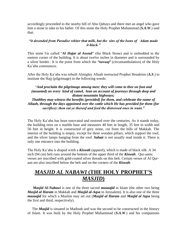accordingly proceeded to the nearby hill of Abu Qubays and there met an angel who gave him a stone to take to his father. Of this stone the Holy Prophet Muhammad (*S.A.W*.) said that:

#### *"it desended from Paradise whiter that milk, but the sins of the lsons of Adam made it black."*

This stone l\is called "*Al Hajar al Aswad*" (the Black Stone) and is embedded in the eastern corner of the building. It is about twelve inches in diameter and is surrounded by a silver border.. It is the point from which the *"tawaaf"* (circumambulation) of the Holy Ka"aba commences.

After the Holy Ka"aba was rebuilt Almighty Allaah instructed Prophet Ibraahiim (*A.S*.) to institute the Hajj (pilgrimage) in the following words:

#### "*And proclaim the pilgrimage among men: they will come to thee on foot and (mounted) on every kind of camel, lean on account of journeys through deep and distant mountain highways;*

*Thatlthey may witness the benefits (provided) for them, and celebrate the name of Allaah, through the days appointed over the cattle which He has provided for them (for sacrifice): then eat ye thereof and feed the distressed ones in want."*

The Holy Ka"aba has been renovated and restored over the centuries. As it stands today, the building rests on a marble base and measures 40 feet in length, 35 feet in width and 50 feet in height. It is constructed of grey stone, cut from the hills of Makkah. The interior of the building is empty, except for three wooden pillars, which support the roof, and the silver lamps hanging from the roof. *Salaat* is not usually read inside it. There is only one entrance into the building.

The Holy Ka"aba is draped witrh a *Kiswah* (apparel), which is made of black silk. A 34 inch (94 cm) belt runs around the bottom of the upper third of the *Kiswah*. Qur-aanic verses are inscribed with gold-coated silver threads on this belt. Certain verses of Al Quraan are also inscribed below the belt and on the corners of the *Kiswah*.

## *MASJID AL NABAWI* **(THE HOLY PROPHET"S**  *MASJID***)**

 *Masjid Al-Nabawi* is one of the three sacred *masaajid* in Islam (the other two being *Masjid al Haram* in Makkah and *Masjid al-Aqsa* in Jerusalem). It is also one of the three *masaajid* for which a Muslim may set out (*Masjid al Haram* and *Masjid al Aqsa* being the first and third, respectively).

 The *Masjid* is situated in Madinah and was the second to be constructed in the history of Islam. It was built by the Holy Prophet Muhammad (*S.A.W*.) and his companions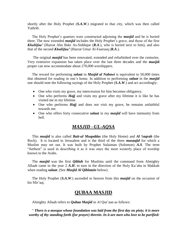shortly after the Holy Prophet (*S.A.W*.) migrated to that city, which was then called Yathrib.

 The Holy Prophet"s quarters were constructed adjoining the *masjid* and he is buried there. The now extended *masjid* includes the Holy Prophet's grave, and those of the first *Khaliifaa"* (Hazrat Abu Bakr As-Siddique (*R.A*.), who is buried next to him), and also that of the second *Khaliifaa"* (Hazrat Umar Al-Faaruuq (*R.A*.).

 The original *masjid* has been renovated, extended and refurbished over the centuries. Very extensive expansion has taken place over the last three decades and the **masjid** proper can now accommodate about 270,000 worshippers.

 The reward for performing *salaat* in *Masjid al Nabawi* is equivalent to 50,000 times that obtained for reading in one"s home. In addition to performing *salaat* in the *masjid* one should note the following sayings of the Holy Prophet (*S.A.W*.) and act accordingly:

- One who visits my grave, my intercession for him becomes obligatory.
- One who performs *Hajj* and visits my grave after my lifetime it is like he has visited me in my lifetime.
- One who performs *Hajj* and does not visit my grave, he remains unfaithful towards me.
- One who offers forty consecutive *salaat* in my *masjid* will have immunity from hell.

### *MASJID –UL-AQSA*

 This *masjid* is also called *Bait-ul Muqaddas* (the Holy Home) and *Al* S*aqrah* (the Rock). It is located in Jerusalem and is the third of the three *masaajid* for which a Muslim may set out. It was built by Prophet Sulaiman (Solomon) *A.S*. The term "furthest" is used in describing it as it was once the most westerly place of worship known to the Arabs.

 The *masjid* was the first *Qiblah* for Muslims until the command from Almighty Allaah came in the year 2 *A.H*. to turn in the direction of the Holy Ka"aba in Makkah when reading *salaat*. (See *Masjid Al Qiblatain* below).

 The Holy Prophet (*S.A.W*.) ascended to heaven from this *masjid* on the occasion of his Mir'aaj.

### **QUBAA MASJID**

Almighty Allaah refers to *Qubaa Masjid* in Al Qur'aan as follows:

" *There is a mosque whose foundation was laid from the first day on piety; it is more worthy of thy standing forth (for prayer) therein. In it are men who love to be purified:*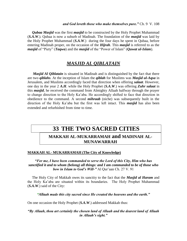*Qubaa Masjid* was the first *masjid* to be constructed by the Holy Prophet Muhammad (*S.A.W*.). Qubaa is now a suburb of Madinah. The foundation of the *masjid* was laid by the Holy Prophet Muhammad (*S.A.W*.) during the four days he spent in Qubaa, before entering Madinah proper, on the occasion of the *Hijrah*. This *masjid* is referred to as the *masjid* of "Piety" (*Taqwa*) and the *masjid* of the "Power of Islam" (*Quwat ul-Islam*).

### *MASJID AL QIBLATAIN*

*Masjid Al Qiblatain* is situated in Madinah and is distinguished by the fact that there are two *qiblahs*. At the inception of Islam the *qiblah* for Muslims was *Masjid ul-Aqsa* in Jerusalem, and Muslims accordingly faced that direction when offering *salaat*. However, one day in the year 2 *A.H*. while the Holy Prophet (*S.A.W*.) was offering *Zuhr salaat* in this *masjid*, he received the command from Almighty Allaah halfway through the prayer to change direction to the Holy Ka"aba. He accordingly shifted to face that direction in obedience to the command. A second *mihraab* (niche) was subsequently built in the direction of the Holy Ka"aba but the first was left intact. This *masjid* has also been extended and refurbished from time to time.

## **33 THE TWO SACRED CITIES**

### **MAKKAH AL-MUKARRAMAH and MADINAH AL-MUNAWARRAH**

#### **MAKKAH AL- MUKARRAMAH (The City of Knowledge)**

#### *"For me, I have been commanded to serve the Lord of this City, Him who has sanctified it and to whom (belong) all things: and I am commanded to be of those who bow in Islam to God's Will-"* Al Qur'aan Ch. 27 V. 91

 The Holy City of Makkah owes its sanctity to the fact that the *Masjid al Haram* and the Holy Ka"aba are situated within its boundaries. The Holy Prophet Muhammad (*S.A.W*.) said of the City:

*"Allaah made this city sacred since He created the heavens and the earth."*

On one occasion the Holy Prophet (*S.A.W*.) addressed Makkah thus:

#### *"By Allaah, thou art certainly the chosen land of Allaah and the dearest land of Allaah in Allaah"s sight."*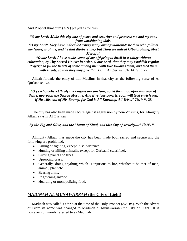And Prophet Ibraahiim (*A.S*.) prayed as follows:

*"O my Lord! Make this city one of peace and security: and preserve me and my sons from worshipping idols.*

*"O my Lord! They have indeed led astray many among mankind; he then who follows my (ways) is of me, and he that disobeys me,- but Thou art indeed Oft-Forgiving, Most Merciful.*

*"O our Lord! I have made some of my offspring to dwell in a valley without cultivation, by Thy Sacred House; in order, O our Lord, that they may establish regular Prayer;: so fill the hearts of some among men with love towards them, and feed them with Fruits, so that they may give thanks.*" Al Qur'aan Ch. 14 V. 35-7

 Allaah forbade the entry of non-Muslims in that city as the following verse of Al Qur"aan shows:

*"O ye who believe! Truly the Pagans are unclean; so let them not, after this year of theirs, approach the Sacred Mosque. And if ye fear poverty, soon will God enrich you, if He wills, out of His Bounty, for God is All Knowing, All-Wise."* Ch. 9 V. 28

 The city has also been made secure against aggression by non-Muslims, for Almighty Allaah says in Al Qur"aan:

"*By the Fig and Olive, and the Mount of Sinai, and this City of security...."* Ch.95 V. 1- 3

 Almighty Allaah ;has made the city has been made both sacred and secure and the following are prohibited:

- Killing or fighting, except in self-defence.
- Hunting or killing animalls, except for Qurbaani (sacrifice).
- Cutting plants and trees.
- Uprooting grass.
- Generally, doing anything which is injurious to life, whether it be that of man, animal, plant etc.
- Bearing arms.
- Frightening anyone.
- Hoarding or monopolizing food.

#### *MADINAH AL MUNAWARRAH* **(the City of Light)**

 Madinah was called Yathrib at the time of the Holy Prophet (*S.A.W*.). With the advent of Islam its name was changed to Madinah al Munawarrah (the City of Light). It is however commonly referred to as Madinah.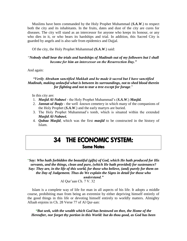Muslims have been commanded by the Holy Prophet Muhammad (*S.A.W*.) to respect both the city and its inhabitants. In the fruits, dates and dust of the city are cures for diseases. The city will stand as an intercessor for anyone who keeps its honour, or any who dies in it, or who bears its hardships and trial. In addition, this Sacred City is guarded by angels and is also safe from epidemics and Dajjal.

Of the city, the Holy Prophet Muhammad *(S.A.W*.) said:

#### "*Nobody shall bear the trials and hardships of Madinah out of my followers but I shall become for him an intercessor on the Resurrection Day."*

#### And again:

#### *"Verily Abraham sanctified Makkah and he made it sacred but I have sanctified Madinah, making unlawful what is between its surroundings, not to shed blood therein for fighting and not to tear a tree except for forage*."

In this city are:

- 1. *Masjid Al-Nabawi* the Holy Prophet Muhammad"s (*S.A.W*.) *Masjid.*
- 2. *Jannat-ul Baqiy* the well -known cemetery in which many of the companions of the Holy Prophet (*S.A.W*.) and the early martyrs are buried.
- 3. The Holy Prophet Muhammad"s tomb, which is situated within the extended *Masjid Al-Nabawi.*
- 4. *Qubaa Masjid*, which was the first *masjid* to be constructed in the history of Islam.

## 34 THE ECONOMIC SYSTEM: Some Notes

"*Say: Who hath forbidden the beautiful (gifts) of God, which He hath produced for His servants, and the things, clean and pure, (which He hath provided) for sustenance? Say: They are, in the life of this world, for those who believe, (and) purely for them on the Day of Judgement. Thus do We explain the Signs in detail for those who understand."*

Al Qur"aan Ch. 7 V. 32

 Islam is a complete way of life for man in all aspects of his life. It adopts a middle course, prohibiting man from being an extremist by either depriving himself entirely of the good things in this life or devoting himself entirely to worldly matters. Almighty Allaah enjoins in Ch. 28 Verse 77 of Al Qur-aan:

*"But seek, with the wealth which God has bestowed on thee, the Home of the Hereafter, nor forget thy portion in this World: but do thou good, as God has been*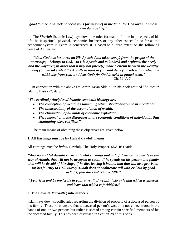#### *good to thee, and seek not occasions for mischief in the land: for God loves not those who do mischief."*

 The *Shariah* (Islamic Law) lays down the rules for man to follow in all aspects of his life: be it spiritual, physical, economic, business or any other aspect. In so far as the economic system in Islam is concerned, it is based to a large extent on the following verse of Al Our'aan:

*"What God has bestowed on His Apostle (and taken away) from the people of the townships, - belongs to God, - to His Apostle and to kindred and orphans, the needy and the wayfarer; in order that it may not (merely) make a circuit between the wealthy among you. So take what the Apostle assigns to you, and deny yourselves that which he withholds from you. And fear God: for God is strict in punishment."* Ch. 59 V. 7

 In connection with the above Dr. Amir Hasan Siddiqi, in his book entitled "Studies in Islamic History", states:

*"The cardinal principles of Islamic economic ideology are;*

- *The conception of wealth as something which should always be in circulation.*
- *The undesirability of the accumulation of wealth.*
- *The elimination of all kinds of economic exploitation.*
- *The removal of grave disparities in the economic conditions of individuals, thus eliminating class conflicts."*

The main means of obtaining these objectives are given below:

#### **1. All Earnings must be by Halaal (lawful) means**.

All earnings must be *halaal* (lawful). The Holy Prophet (*S.A.W*.) said:

*"Any servant (of Allaah) earns unlawful earnings and out of it spends as charity in the way of Allaah, that will not be accepted as such; if he spends on his person and family that will be devoid of blessings; if he dies leaving it behind him that will be a provision for his journey to Hell. Surely Allaah does not obliterate evil with evil but by good actions; foul does not remove filth."*

*"Fear God and be moderate in your pursuit of wealth: take only that which is allowed and leave that which is forbidden."*

#### **2. The Laws of** *Miiraath* **( inheritance )**

Islam lays down specific rules regarding the division of property of a deceased person by his family. These rules ensure that a deceased person's wealth is not concentrated in the hands of one or two persons but rather is spread among certain specified members of his the deceased family. This has been discussed in Section 28 of this book.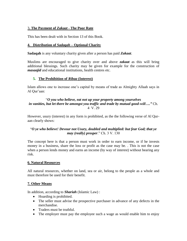#### 3**. The Payment of** *Zakaat* **- The Poor Rate**

This has been dealt with in Section 13 of this Book.

#### **4. Distribution of** *Sadaqah* **– Optional Charity**

**Sadaqah** is any voluntary charity given after a person has paid *Zakaat*.

Muslims are encouraged to give charity over and above *zakaat* as this will bring additional blessings. Such charity may be given for example for the construction of *masaajid* and educational institutions, health centres etc.

#### **5. The Prohibition of** *Ribaa* **(Interest)**

Islam allows one to increase one"s capital by means of trade as Almighty Allaah says in Al Qur'aan:

#### "*O you who believe, eat not up your property among yourselves in vanities, but let there be amongst you traffic and trade by mutual good-will…."* Ch. 4 V. 29

However, usury (interest) in any form is prohibited, as the the following verse of Al Quraan clearly shows:

#### "*O ye who believe! Devour not Usury, doubled and multiplied: but fear God; that ye may (really) prosper*." Ch. 3 V. 130

The concept here is that a person must work in order to earn income, or if he invests money in a business, share the loss or profit as the case may be. . This is not the case when a person lends money and earns an income (by way of interest) without bearing any risk.

#### **6. Natural Resources**

All natural resources, whether on land, sea or air, belong to the people as a whole and must therefore be used for their benefit.

#### **7. Other Means**

In addition, according to *Shariah* (Islamic Law) :

- Hoarding is prohibited.
- The seller must advise the prospective purchaser in advance of any defects in the merchandise.
- Traders must be truthful.
- The employer must pay the employee such a wage as would enable him to enjoy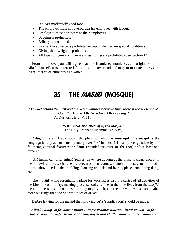"at least moderately good food".

- The employer must not overburden his employee with labour.
- Employees must be sincere to their employers.
- Begging is prohibited.
- Bribery is prohibited.
- Payment in advance is prohibited except under certain special conditions.
- Giving short weight is prohibited.
- All types of games of chance and gambling are prohibited (See Section 14).

 From the above you will agree that the Islamic economic system originates from Allaah Himself. It is therefore left to those in power and authority to institute this system in the interest of humanity as a whole.

# 35 THE *MASJID* (MOSQUE)

"*To God belong the East and the West: whithersoever ye turn, there is the presence of God. For God is All-Pervading, All-Knowing."* Al Qur"aan Ch. 2 V. 115

> *"The world, the whole of it, is a masjid."* The Holy Prophet Muhammad (*S.A.W*)

 *"Masjid*" is an Arabic word, the plural of which is *masaajid.* The *masjid* is the congregational place of worship and prayer for Muslims. It is easily recognisable by the following external features: the dome (rounded structure on the roof) and at least one minaret.

 A Muslim can offer *salaat* (prayer) anywhere as long as the place is clean, except in the following places: churches, graveyards, synagogues, slaughter-houses, public roads, toilets, above the Ka"aba, buildings housing animals and beasts, places containing dung, etc.

 The *masjid,* while essentially a place for worship, is also the centre of all activities of the Muslim community: meeting place, school etc. The further one lives from the *masjid*, the more blessings one obtains for going to pray in it, and the one who walks also obtains more blessings than the one who rides or drives.

Before leaving for the masjid the following du"a (supplication) should be made:

*Allaahummaj "al fee qalbee nuuran wa fee lisaanee nuuran. Allaahummaj "al fee sam"ee nuuran wa fee basaree nuuran, waj"al min khalfee nuuran wa min amaanee*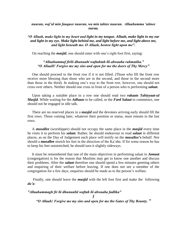#### *nuuran, waj"al min fauquee nuuran, wa min tahtee nuuran. Allaahumma "atinee nuraa.*

#### *"O Allaah, make light in my heart and light in my tongue. Allaah, make light in my ear and light in my eye. Make light behind me, and light before me, and light above me, and light beneath me. O Allaah, bestow light upon me".*

On reaching the *masjid*, one should enter with one's right foot first, saying:

#### *"Allaahummaf firlii dhunuubi waftahtah-lii-abwaaba rahmatika." "O AllaaH! Forgive me my sins and open for me the doors of Thy Mercy"*

 One should proceed to the front row if it is not filled. (Those who fill the front row receive more blessing than those who are in the second, and those in the second more than those in the third). In making one"s way to the front row, however, one should not cross over others. Neither should one cross in front of a person who is performing *salaat.*

 Upon taking a suitable place in a row one should read two *rakaats Tahiyyaat-ul Masjid*. While waiting for the *Adhaan* to be called, or the *Fard Salaat* to commence, one should not be engaged in idle talk.

 There are no reserved places in a *masjid* and the devotees arriving early should fill the first rows. Those coming later, whatever their position or status, must remain in the last rows.

 A *musallee* (worshipper) should not occupy the same place in the *masjid* every time he visits it to perform his *salaat*. Rather, he should endeavour to read *salaat* in different places, as on the Day of Judgement each place will testify on the **musallee"s** behalf. Nor should a **musallee** stretch his feet in the direction of the Ka"aba. If for some reason he has to keep his feet outstretched, he should turn it slightly sideways.

 It must be remembered that one of the main objectives in performing salaat in *Jamaat* (congregation) is for the reason that Muslims may get to know one another and discuss their problems. After the *salaat* therefore one should spend a few minutes greeting others and enquiring of their welfare before leaving. If one does not see a member of the congregation for a few days, enquiries should be made as to the person"s welfare.

 Finally, one should leave the *masjid* with the left foot first and make the following *du"a*:

#### *"Allaahummagh fir lii dhunuubii waftah lii abwaaba fadlika"*

*f*

*"O Allaah! Forgive me my sins and open for me the Gates of Thy Bounty. "*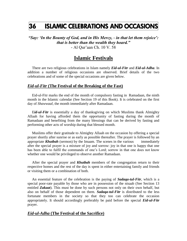# 36 ISLAMIC CELEBRATIONS AND OCCASIONS

*"Say: "In the Bounty of God, and in His Mercy, - in that let them rejoice": that is better than the wealth they hoard."* - Al Qur"aan Ch. 10 V. 58

### **Islamic Festivals**

 There are two religious celebrations in Islam namely *Eid-ul-Fitr* and *Eid-ul*-*Adha*. In addition a number of religious occasions are observed. Brief details of the two celebrations and of some of the special occasions are given below.

#### *Eid-ul-Fitr* **(The Festival of the Breaking of the Fast)**

 Eid-ul-Fitr marks the end of the month of compulsory fasting in Ramadaan, the ninth month in the Islamic calendar (See Section 19 of this Book). It is celebrated on the first day of *Shawwaal*, the month immediately after Ramadaan.

 E*id-ul-Fitr* is essentially a day of thanksgiving on which Muslims thank Almighty Allaah for having afforded them the opportunity of fasting during the month of Ramadaan and benefiting from the many blessings that can be derived by fasting and performing other acts of worship during that blessed month.

 Muslims offer their gratitude to Almighty Allaah on the occasion by offering a special prayer shortly after sunrise or as early as possible thereafter. The prayer is followed by an appropriate *Khutbah* (sermon) by the Imaam. The scenes in the various immediately after the special prayer is a mixture of joy and sorrow: joy in that one is happy that one has been able to fulfil the commands of one's Lord; sorrow in that one does not know whether one would be privileged to observe another Ramadaan.

 After the special prayer and *Khutbah* members of the congregation return to their respective homes and the rest of the day is spent in either entertaining family and friends or visiting them or a combination of both.

 An essential feature of the celebration is the paying of *Sadaqa-tul-Fitr*, which is a special poor-rate payable by those who are in possession of the nisaab (See Section 13 entitled *Zakaat*). This must be done by such persons not only on their own behalf, but also on behalf of those dependent on them. *Sadaqa-tul-Fitr* is distributed to the less fortunate members in the society so that they too can celebrate the occasion appropriately. It should accordingly preferably be paid before the special *Eid-ul-Fitr* prayer.

#### *Eid-ul-Adha* **(The Festival of the Sacrifice)**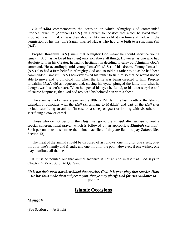*Eid-ul-Adha* commemorates the occasion on which Almighty God commanded Prophet Ibraahiim (Abraham) (*A.S*.). in a dream to sacrifice that which he loved most. Prophet Ibraahiim (*A.S*.) was then about eighty years old at the time and had, with the permission of his first wife Sarah, married Hagar who had give birth to a son, Ismaa"iil (*A.S*).

 Prophet Ibraahiim (*A.S*.) knew that Almighty God meant he should sacrifice young Ismaa"iil *A.S*., as he loved his (then) only son above all things. However, as one who had absolute faith in his Creator, he had no hesitation in deciding to carry out Almighty God"s command. He accordingly told young Ismaa"iil (A.S.) of his dream. Young Ismaa-iil (*A.S*.) also had a firm belief in Almighty God and so told his father to do as he had been commanded. Ismaa"iil (*A.S*.) however asked his father to tie him so that he would not be able to move and to blindfold him when the knife was being directed to him. Prophet Ibraahiim (*A.S*.). did as requested and, closing his eyes, plunged the knife into what he thought was his son"s heart. When he opened his eyes he found, to his utter surprise and of course happiness, that God had replaced his beloved son with a sheep.

 The event is marked every year on the 10th. of Zil Hajj, the last month of the Islamic calendar. It coincides with the *Hajj* (Pilgrimage to Makkah) and part of the *Hajj* rites include sacrificing an animal (in case of a sheep or goat) or joining with six others in sacrificing a cow or camel.

 Those who do not perform the *Hajj* must go to the *masjid* after sunrise to read a special congregational prayer, which is followed by an appropriate *Khutbah* (sermon). Such persons must also make the animal sacrifice, if they are liable to pay *Zakaat* (See Section 13).

 The meat of the animal should be disposed of as follows: one third for one"s self, onethird for one"s family and friends, and one third for the poor. However, if one wishes, one may distribute all the meat..

 It must be pointed out that animal sacrifice is not an end in itself as God says in Chapter 22 Verse 37 of Al Qur"aan:

*"It is not their meat nor their blood that reaches God: It is your piety that reaches Him: He has thus made them subject to you, that ye may glorify God for His Guidance to you:.."*

### **Islamic Occasions**

#### *"Aqiiqah*

(See Section 24- At Birth)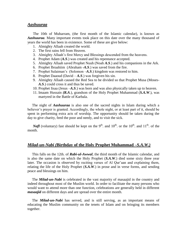#### *Aashuuraa*

 The 10th of Muharram, (the first month of the Islamic calendar), is known as *Aashuuraa*. Many important events took place on this date over the many thousand of years the world has been in existence. Some of these are give below:

- 1. Almighty Allaah created the world.
- 2. The first rains fell from Heaven.
- 3. Almighty Allaah"s first Mercy and Blessings descended from the heavens.
- 4. Prophet Adam (*A.S*.) was created and his repentance accepted.
- 5. Almighty Allaah saved Prophet Nuuh (Noah *A.S*.) and his companions in the Ark.
- 6. Prophet Ibraahiim (Abraham *-A.S*.) was saved from the fire.
- 7. Prophet Sulaiman"s (Solomon –*A.S*.) kingdom was restored to him.
- 8. Prophet Daaoud (David *A.S*.) was forgiven his sin.
- 9. Almighty Allaah caused the Red Sea to be divided so that Prophet Musa (Moses-*A.S*.) could cross it and thus be saved.
- 10. Prophet Iisaa (Jesus –*A.S*.) was born and was also physically taken up to heaven.
- 11. Imaam Hussain *(R.A*.), grandson of the Holy Prophet Muhammad (*S.A.W*.), was martyred in the Battle of Karbala.

 The night of *Aashuuraa* is also one of the sacred nights in Islam during which a believer's prayer is granted. Accordingly, the whole night, or at least part of it, should be spent in performing extra acts of worship. The opportunity should be taken during the day to give charity, feed the poor and needy, and to visit the sick.

*Nafl* (voluntary) fast should be kept on the 9<sup>th</sup>. and 10<sup>th</sup>. or the 10<sup>th</sup>. and 11<sup>th</sup>. of the month.

#### *Milad-un-Nabi (***Birthday of the Holy Prophet Muhammad** *–S.A.W.)*

 This falls on the 12th. of *Rabi-ul-Awwal*, the third month of the Islamic calendar, and is also the same date on which the Holy Prophet (*S.A.W*.) died some sixty three year later. The occasion is observed by reciting verses of Al Qur'aan and explaining them, relating the life of the Holy Prophet (*S.A.W*.) in prose and in verse forms, and sending peace and blessings on him.

 The *Milad-un-Nabi* is celebrated in the vast majority of masaajid in the country and indeed throughout most of the Muslim world. In order to facilitate the many persons who would want to attend more than one function, celebrations are generally held in different *masaajid* on different days and are spread over the entire month.

 The *Milad-un-Nabi* has served, and is still serving, as an important means of educating the Muslim community on the tenets of Islam and on bringing its members together.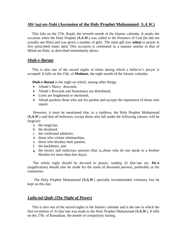#### *Mir"aaj-un-Nabi* **(Ascension of the Holy Prophet Muhammad-** *S.A.W***.)**

 This falls on the 27th. Rajab, the seventh month of the Islamic calendar. It marks the occasion when the Holy Prophet (*S.A.W*.) was called to the Presence of God (he did not actually see Him) and was given a number of gifts. The main gift was *salaat* or prayer at five prescribed times daily This occasion is celebrated in a manner similar to that of Milad-un-Nabi, as described immediately above.

#### *Shab-e-Baraat*

 This is also one of the sacred nights in Islam during which a believer"s prayer is accepted. It falls on the 15th. of *Shabaan*, the eight month of the Islamic calendar.

 *Shab-e-Baraat* is the night on which, among other things:

- Allaah's Mercy descends,
- Allaah"s Rewards and Sustenance are distributed,
- Lives are lengthened or shortened,
- Allaah pardons those who ask for pardon and accepts the repentance of those who repent.

 However, it must be mentioned that, in a tradition, the Holy Prophet Muhammad (*S.A.W*.) said that all believers, except those who fall under the following classes, will be forgiven:

- a. the magician,
- b. the drunkard,
- c. the confirmed adulterer,
- d. those who violate relationships,
- e. those who disobey their parents,
- f. the backbiters, and
- g. the misers and malicious persons (that is,,those who do not speak to a brother Muslim for more than thre days)..

The whole night should be devoted to prayer, reading Al Qur'aan etc. **Du'a** (supplication) should also be made for the souls of deceased persons, preferably at the cemeteries.

 The Holy Prophet Muhammad (*S.A.W*.) specially recommended voluntary fast be kept on this day.

#### *Laila-tul-Qadr (The Night of Power)*

 This is also one of the sacred nights in the Islamic calendar and is the one in which the first revelation of Al Qur"aan was made to the Holy Prophet Muhammad (*S.A.W*.). It falls on the 27th. of Ramadaan, the month of compulsory fasting.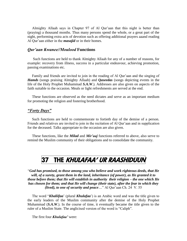Almighty Allaah says in Chapter 97 of Al Qur"aan that this night is better than (praying) a thousand months. Thus many persons spend the whole, or a great part of the night, performing extra acts of devotion such as offering additional prayers aaand reading Al Qur'aan either in the *masajid* or in their homes.

#### *Qur"aan Kwanee//Moulood* **Functions**

 Such functions are held to thank Almighty Allaah for any of a number of reasons, for example: recovery from illness, success in a particular endeavour, achieving promotion, passing examinations etc.

 Family and friends are invited to join in the reading of Al Qur"aan and the singing of *Hamds* (songs praising Almighty Allaah) and *Qaseedas* (songs depicting events in the life of the Holy Prophet Muhammad *S.A.W*.). Addresses are also given on aspects of the faith suitable to the occasion. Meals or light refreshments are served at the end.

 These functions are observed as the need dictates and serve as an important medium for promoting the religion and fostering brotherhood.

#### *"Forty Days"*

 Such functions are held to commemorate to fortieth day of the demise of a person. Friends and relatives are invited to join in the recitation of Al Qur"aan and in supplication for the deceased. Talks appropriate to the occasion are also given.

 These functions, like the *Milad* and *Mir"aaj* functions referred to above, also serve to remind the Muslim community of their obligations and to consolidate the community.

## 37 THE KHULAFAA' UR RAASHIDUUN

"*God has promised, to those among you who believe and work righteous deeds, that He will, of a surety, grant them in the land, inheritance (of power), as He granted it to those before them; that He will establish in authority their religion – the one which He has chosen for them; and that He will change (their state), after the fear in which they (lived), to one of security and peace*:..." Al Qur'aan Ch. 24 V. 55

 The word "*Khaliifaa*" (plural *Khulafaa*") is an Arabic word and was the title given to the early leaders of the Muslim community after the demise of the Holy Prophet Muhammad (*S.A.W*.). In the course of time, it eventually became the title given to the ruler of a Muslim State. The anglicised version of the word is "Caliph".

The first four *Khulafaa"* were: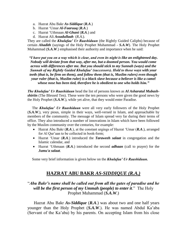- a. Hazrat Abu Bakr *As-Siddique* (*R.A*.)
- b. Hazrat "Umar *Al-Faaruuq* (*R.A*.)
- c. Hazrat "Uthmaan *Al-Ghani* (*R.A*.) and
- d. Hazrat Ali *Assadullaah* (*R.A*.).

They are called the *Khulafaa" Ur Raashiduun* (the Rightly Guided Caliphs) because of certain *Ahadith* (sayings of the Holy Prophet Muhammad - *S.A.W*). The Holy Prophet Muhammad (*S.A.W*.) emphasised their authority and importance when he said:

*"I have put you on a way which is clear, and even its night is like an enlightened day. Nobody will deviate from that way, after me, but a doomed person. You would come across with differences after me. But you should stick to my Sunnah (ways) and the Sunnah of my Rightly Guided Khulafaa" (successors). Hold to those ways with your teeth (that is, be firm on them), and follow them (that is, Muslim rulers) even though your ruler (that is, Muslim ruler) is a black slave because a believer is like a camel whose nose has been tied, therefore he is obedient to one who holds him."*

*The Khulafaa" Ur Raashiduun* head the list of persons known as *Al Asharatul Mubashshiriin* (The Blessed Ten). These were the ten persons who were given the good news by the Holy Prophet (*S.A.W*.), while yet alive, that they would enter Paradise.

 The *Khulafaa" Ur Raashiduun* were all very early followers of the Holy Prophet (*S.A.W*.), very pious, simple in their ways, well-versed in Islam, and approachable by members of the community. The message of Islam spread very far during their terms of office. They also introduced a number of innovations in Islam which have been followed by the Muslim community over the centuries, for example:

- Hazrat Abu Bakr (*R.A*.), at the constant urgings of Hazrat "Umar (*R.A*.), arranged for Al Qur'aan to be collected in book-form;
- Hazrat "Umar (*R.A*.) introduced the *Taraweeh salaat* in congregation and the Islamic calendar, and
- Hazrat "Uthmaan (*R.A*.) introduced the second *adhaan* (call to prayer) for the *Jumu'a salaat*.

Some very brief information is given below on the *Khulafaa" Ur Raashiduun.*

### **HAZRAT ABU BAKR** *AS-SIDDIQUE (R.A.)*

"*Abu Bakr"s name shall be called out from all the gates of paradise and he*  will be the first person of my Ummah (people) to enter it." The Holy Prophet Muhammad (*S.A.W*.)

 Hazrat Abu Bakr *As-Siddique* (*R.A*.) was about two and one half years younger than the Holy Prophet (*S.A.W*.). He was named Abdul Ka"aba (Servant of the Ka"aba) by his parents. On accepting Islam from his close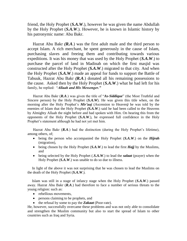friend, the Holy Prophet (*S.A.W*.), however he was given the name Abdullah by the Holy Prophet (*S.A.W*.). However, he is known in Islamic history by his patronymic name: Abu Bakr.

 Hazrat Abu Bakr *(R.A*.) was the first adult male and the third person to accept Islam. A rich merchant, he spent generously in the cause of Islam, purchasing slaves and freeing them and contributing towards various expeditions. It was his money that was used by the Holy Prophet (*S.A.W*.) to purchase the parcel of land in Madinah on which the first masjid was constructed after the Holy Prophet *(S.A.W*.) migrated to that city. And when the Holy Prophet (*S.A.W*.) made an appeal for funds to support the Battle of Tabuuk, Hazrat Abu Bakr *(R.A*.) donated all his remaining possessions to the cause. Asked then by the Holy Prophet (*S.A.W*.) what he had left for his family, he replied: "*Allaah and His Messenger."*

 Hazrat Abu Bakr (*R.A*.) was given the title of "*As-Siddique*" (the Most Truthful and Sincere person) by the Holy Prophet (*S.A.W*). He was given this title when, on the morning after the Holy Prophet"s *Mir"aaj* (Ascension to Heaven*)* he was told by the enemies of Islam that the Holy Prophet *(S.A.W*.) said he had been called to the Heavens by Almighty Allaah the night before and had spoken with Him. On hearing this from the opponents of the Holy Prophet (*S.A.W*.), he expressed full confidence in the Holy Prophet"s statement although he had not yet met him.

Hazrat Abu Bakr  $(R.A.)$  had the distinction (during the Holy Prophet's lifetime), among others, of;

- being the person who accompanied the Holy Prophet (*S.A.W*.) on the *Hijrah* (migration),
- being chosen by the Holy Prophet (*S.A.W*.) to lead the first *Hajj* by the Muslims, and
- being selected by the Holy Prophet (.*S.A.W*.) to lead the *salaat* (prayer) when the Holy Prophet (*S.A.W*.) was unable to do so due to illness.

 In light of the above it was not surprising that he was chosen to lead the Muslims on the death of the Holy Prophet (*S.A.W*.).

 Islam was still in a stage of infancy stage when the Holy Prophet (*S.A.W*.) passed away. Hazrat Abu Bakr (*R.A*.) had therefore to face a number of serious threats to the young religion: such as:

- rebellious movements.
- persons claiming to be prophets, and
- the refusal by some to pay the **Zakaat** (Poor-rate).

He, however, successfully overcame these problems and was not only able to consolidate and strengthen the Muslim community but also to start the spread of Islam to other countries such as Iraq and Syria.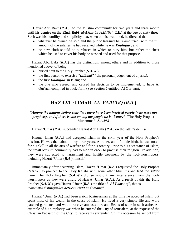Hazrat Abu Bakr (*R.A*.) led the Muslim community for two years and three month until his demise on the 22nd. *Rabi–ul-Akhir* 13 *A.H*.(634 C.E.) at the age of sixty three. Such was his humility and simplicity that, when on his death-bed, he directed that:

- whatever he owned be sold and the public treasury be re-imbursed with the full amount of the salaries he had received while he was *Khaliifaa"*, and
- no new cloth should be purchased in which to bury him, but rather the sheet which he used to cover his body be washed and used for that purpose.

 Hazrat Abu Bakr (*R.A*.) has the distinction, among others and in addition to those mentioned above, of being:

- buried next to the Holy Prophet (*S.A.W*.);
- the first person to exercise *"Ijtihaad"* ( the personal judgement of a jurist);
- the first *Khaliifaa*' in Islam; and
- the one who agreed, and caused his decision to be implemented, to have Al Qur"aan compiled in book-form (See Section 7 entitled Al Qur"aan).

### **HAZRAT "UIMAR** *AL\_FARUUQ* **(***R.A***.)**

#### *"Among the nations before your time there have been inspired people (who were not prophets), and if there is one among my people he is "Umar."* (The Holy Prophet Muhammad -*S.A.W.)*

Hazrat "Umar (*R.A*.) succeeded Hazrat Abu Bakr (*R.A*.) on the latter"s demise.

Hazrat 'Umar (**R.A**.) had accepted Islam in the sixth year of the Holy Prophet's mission. He was then about thirty three years. A trader, and of noble birth, he was noted for his skill in all the arts of warfare and for his oratory. Prior to his acceptance of Islam, the small Muslim community had to hide in order to practise their religion. In addition, they were subjected to harassment and hostile treatment by the idol-worshippers, including Hazrat "Umar (*R.A*.) himself.

 Immediately after accepting Islam, Hazrat "Umar (*R.A*.) requested the Holy Prophet (*S.A.W*.) to proceed to the Holy Ka"aba with some other Muslims and lead the *salaat* there. The Holy Prophet (*S.A.W*.) did so without any interference from the idolworshippers as they were afraid of Hazrat "Umar (*R.A*.). As a result of this the Holy Prophet (*S.A.W*.) gave Hazrat "Umar (*R.A*.) the title of "*Al-Faaruuq*", that is, "*one who distinguishes between right and wrong".*

 Hazrat "Umar (*R.A*.) had been a rich businessman at the time he accepted Islam but spent most of his wealth in the cause of Islam. He lived a very simple life and wore patched garments, and would receive ambassadors and Heads of state in such attire. An example of his simplicity was when he entered the City of Jerusalem, at the request of the Christian Patriarch of the City, to receive its surrender. On this occasion he set off from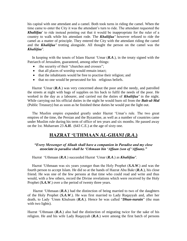his capital with one attendant and a camel. Both took turns in riding the camel. When the time came to enter the City it was the attendant"s turn to ride. The attendant requested the *Khaliifaa*" to ride instead pointing out that it would be inappropriate for the ruler of a country to walk while his attendant rode. The *Khaliifaa"* however refused to ride the camel as a matter of principle. They entered the City with the attendant riding the camel and the *Khaliifaa"* trotting alongside. All thought the person on the camel was the *Khaliifaa"*.

 In keeping with the tenets of Islam Hazrat "Umar (*R.A*.), in the treaty signed with the Patriarch of Jerusalem, guaranteed, among other things:

- : the security of their "churches and crosses";
- that all places of worship would remain intact;
- that the inhabitants would be free to practise their religion; and
- that no one would be persecuted for his religious beliefs.

Hazrat 'Umar (**R.A**.) was very concerned about the poor and the needy, and patrolled the streets at night with bags of supplies on his back to fulfil the needs of the poor. He worked in the day as a labourer, and carried out the duties of *Khaliifaa"* in the night. While carrying out his official duties in the night he would burn oil from the *Bait-ul-Mal* (Public Treasury) but as soon as he finished these duties he would put the light out.

 The Muslim empire expanded greatly under Hazrat "Umar"s rule. The two great empires of the time, the Persian and the Byzantine, as well as a number of countries came under Muslim rule during his term of office of ten years and six months. He passed away on the 1st. Muharram 23 *A.H.* (643 C.E.) at the age of sixty one.

### **HAZRAT "UTHMAAN** *AL-GHANI (R.A***.)**

*"Every Messenger of Allaah shall have a companion in Paradise and my close associate in paradise shall be "Uthmaan bin "Affaan (son of "Affaan)."*

Hazrat "Uthmaan (*R.A*.) succeeded Hazrat "Umar (*R.A*.) as *Khaliifaa"*.

 Hazrat "Uthmaan was six years younger than the Holy Prophet (*S.A.W*.) and was the fourth person to accept Islam. He did so at the hands of Hazrat Abu Bakr (*R.A*.), his close friend. He was one of the few persons at that time who could read and write and thus would, with a few others, record the Divine revelations which were received by the Holy Prophet (*S.A.W*.) over a the period of twenty three years.

 Hazrat "Uthmaan (*R.A*.) had the distinction of being married to two of the daughters of the Holy Prophet (*S.A.W*.). He was first married to Lady Ruqayyah and, after her death, to Lady "Umm Khulsum (*R.A*.). Hence he was called "*Dhun-nurain*" (the man with two lights).

Hazrat "Uthmaan (*R.A*.) also had the distinction of migrating twice for the sake of his religion. He and his wife Lady Ruqayyah (*R.A*.) were among the first batch of persons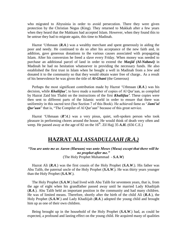who migrated to Abyssinia in order to avoid persecution. There they were given protection by the Christian Negus (King). They returned to Makkah after a few years when they heard that the Makkans had accepted Islam. However, when they found this to be untrue they had to migrate again, this time to Madinah.

 Hazrat "Uthmaan (*R.A*.) was a wealthy merchant and spent generously in aiding the poor and needy. He continued to do so after his acceptance of the new faith and, in addition, gave generous donations to the various causes associated with propagating Islam. After his conversion he freed a slave every Friday. When money was needed to purchase an additional parcel of land in order to extend the *Masjid (Al-Nabawi)* in Madinah he had no hesitation whatsoever in providing the necessary funds. He also established the first trust in Islam when he bought a well in Madinah from a Jew and donated it to the community so that they would obtain water free of charge.. As a result of his benevolence he was given the title of *Al-Ghani* (the Generous)

 Perhaps the most significant contribution made by Hazrat "Uthmaan (*R.A*.) was his decision, while *Khaliifaa"*, to have made a number of copies of Al Qur"aan, as compiled by Hazrat Zaid bin Thabit on the instructions of the first *Khaliifaa"*. These copies were then sent to different parts of the Islamic world in order to ensure that there was uniformity in this sacred text (See Section 7 of this Book). He achieved fame as "*Jami"ul Qur'aan*" that is, "The Compiler of Al Qur'aan" because of this great service.

 Hazrat "Uthmaan (*R"A*.) was a very pious, quiet, soft-spoken person who took pleasure in performing chores around the house. He would think of death very often and weep. He passed away at the age of 82 on the  $16<sup>th</sup>$ . Zil Hajj 35  $A.H.$  (656 C.E.)

### **HAZRAT ALI** *ASSADULLAAH (R.A.)*

#### *"You are unto me as Aaron (Haruun) was unto Moses (Musa) except that there will be no prophet after me."* (The Holy Prophet Muhammad - *S.A.W*)

 Hazrat Ali (*R.A*.) was the first cousin of the Holy Prophet (*S.A.W*.). His father was Abu Talib, the paternal uncle of the Holy Prophet (*S.A.W*.). He was thirty years younger than the Holy Prophet (*S.A.W*.).

 The Holy Prophet (*S.A.W*.) had lived with Abu Talib for seventeen years, that is, from the age of eight when his grandfather passed away until he married Lady Khadiijah (*R.A*.). Abu Talib held an important position in the community and had many children. He was of limited means. Therefore, shortly after the birth of the child Ali (*R.A*.), the Holy Prophet (*S.A.W*.) and Lady Khadiijah *(R.A*.) adopted the young child and brought him up as one of their own children.

 Being brought up in the household of the Holy Prophet (*S.A.W*.) had, as could be expected, a profound and lasting effect on the young child. He acquired many of qualities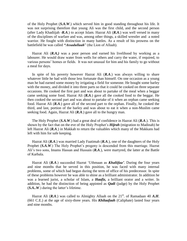of the Holy Prophet (*S.A.W*.) which served him in good standing throughout his life. It was not surprising therefore that young Ali was the first child, and the second person (after Lady Khadiijah -*R.A*.) to accept Islam. Hazrat Ali (*R.A*.) was well versed in many of the disciplines of warfare and was, among other things, a skilled wrestler and a noted warrior. He fought with distinction in many battles. As a result of his prowess on the battlefield he was called *"Assadullaah*" (the Lion of Allaah).

 Hazrat Ali (*R.A.)* was a poor person and earned his livelihood by working as a labourer. He would draw water from wells for others and carry the water, if required, to various persons" homes or fields. It was not unusual for him and his family to go without a meal for days.

 In spite of his poverty however Hazrat Ali (*R.A*.) was always willing to share whatever little he had with those less fortunate than himself. On one occasion as a young man he had earned some money by irrigating a field for someone. He bought some barley with the money, and divided it into three parts so that it could be cooked on three separate occasions. He cooked the first part and was about to partake of the meal when a beggar came seeking some food. Hazrat Ali (*R.A*.) gave all the cooked food to the beggar. He then cooked the second part and was about to partake of it when an orphan came seeking food. Hazrat Ali (*R.A*.) gave all of the second part to the orphan. Finally, he cooked the third, and last, portion of the barley and was about to eat it when a non-Muslim came seeking food. Again, Hazrat Ali (*R.A*.) gave all to the hungry man.

 The Holy Prophet (*S.A.W*.) had a great deal of confidence in Hazrat Ali (*R.A*.). This is shown by the fact that on the eve of the Holy Prophet"s *Hijrah* (migration to Madinah) he left Hazrat Ali (*R.A*.) in Makkah to return the valuables which many of the Makkans had left with him for safe keeping.

 Hazrat Ali (*R.A*.) was married Lady Faatimah (*R.A*.), one of the daughters of the Holy Prophet (*S.A.W*.) The Holy Prophet's progeny is descended from this marriage. Hazrat Ali"s two sons, Imams Hassan and Hussain (*R.A*.), were martyred, the latter at the Battle of Karbala.

 Hazrat Ali (*R.A*.) succeeded Hazrat "Uthmaan as *Khaliifaa"*. During the four years and nine months that he served in this position, he was faced with many internal problems, some of which had begun during the term of office of his predecessor. In spite of these problems however he was able to shine as a brilliant administrator. In addition he was a learned jurist, a scholar of Islam, a *Haafiz,* a brilliant orator and a writer. In addition, he had the distinction of being appinted as *Qadi* (judge) by the Holy Prophet (*S.A..W.*) during the latter's lifetime.

Hazrat Ali ( $\mathbf{R}$ , $\mathbf{A}$ .) was called to Almighty Allaah on the 21<sup>st</sup>. of Ramadaan 40  $\mathbf{A}$ , $\mathbf{H}$ . (661 C.E.) at the age of sixty-three years. His *Khilaafaah* (Caliphate) lasted four years and nine months.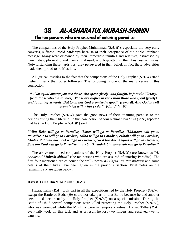# 38 AL-ASHARATUL MUBASH-SHIRIIN The ten persons who are assured of entering paradise

 The companions of the Holy Prophet Muhammad (*S.A.W*.), especially the very early converts, suffered untold hardships because of their acceptance of the noble Prophet"s message. Many were disowned by their immediate families and relatives, ostracised by their tribes, physically and mentally abused, and boycotted in their business activities. Notwithstanding these hardships, they persevered in their belief. In fact these adversities made them proud to be Muslims.

 Al Qur"aan testifies to the fact that the companions of the Holy Prophet (*S.A.W*) stand higher in rank than other followers. The following is one of the many verses in this connection:

## *"...Not equal among you are those who spent (freely) and fought, before the Victory, (with those who did so later). Those are higher in rank than those who spent (freely) and fought afterwards. But to all has God promised a goodly (reward). And God is well acquainted with what ye do."* (Ch. 57 V. 10)

 The Holy Prophet (*S.A.W*) gave the good news of their attaining paradise to ten persons during their lifetime. In this connection "Abdur Rahman bin "Auf (*R.A*.) reported that he (the Holy Prophet  $-S.A.W.$ ) said:

*""Abu Bakr will go to Paradise, "Umar will go to Paradise, "Uthmaan will go to Paradise, "Ali will go to Paradise, Talha will go to Paradise, Zubair will go to Paradise, "Abdur Rahman bin "Auf will go to Paradise, Sa"d bin Abi Waqqas will go to Paradise, Said bin Zaid will go to Paradise and Abu "Ubaidah bin al-Jarrah will go to Paradise."*

 The above-mentioned companions of the Holy Prophet (*S.A.W*.) are known as "*Al Asharatul Mubash-shiriin*" (the ten persons who are assured of entering Paradise). The first four mentioned are of course the well-known *Khulafaa" ur Raashiduun* and some details of their lives have been given in the previous Section. Brief notes on the remaining six are given below.

#### **Hazrat Talha Bin "Ubaidullah (***R.A***.)**

 Hazrat Talha (*R.A*.) took part in all the expeditions led by the Holy Prophet (*S.A.W*.) except the Battle of Badr. (He could not take part in that Battle because he and another person had been sent by the Holy Prophet (*S.A.W*.) on a special mission. During the Battle of Uhud several companions were killed protecting the Holy Prophet (*S.A.W*.), who was wounded while the Muslims were in temporary retreat. Hazrat Talha (*R.A*.) eventually took on this task and as a result he lost two fingers and received twenty wounds.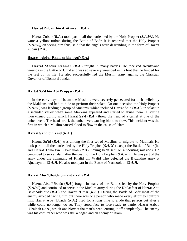#### **Hazrat Zubair bin Al-Awwan (***R.A***.)**

 Hazrat Zubair (*R.A*.) took part in all the battles led by the Holy Prophet (*S.A.W*.). He wore a yellow turban during the Battle of Badr. It is reported that the Holy Prophet (*S.A.W.),* on seeing him thus, said that the angels were descending in the form of Hazrat Zubair (*R.A*.).

#### **Hazrat "Abdur Rahman bin "Auf (***R.A***.)**

 **Hazrat "Abdur Rahman** *(R.A*.) fought in many battles. He received twenty-one wounds in the Battle of Uhud and was so severely wounded in his foot that he limped for the rest of his life. He also successfully led the Muslim army against the Christian Governor of Domatul Jundal.

#### **Haztat Sa"d bin Abi Waqqas (***R.A***.)**

 In the early days of Islam the Muslims were severely persecuted for their beliefs by the Makkans and had to hide to perform their salaat. On one occasion the Holy Prophet (*S.A.W*.) was leading a group of Muslims, which included Hazrat Sa"d (*R.A*.), in salaat in a secluded valley when some Makkans appeared and started to abuse them. A scuffle then ensued during which Hazrat Sa"d (*R.A*.) threw the head of a camel at one of the unbelievers. The head struck the unbeliever, causing blood to flow. This incident was the first in which a Muslim caused blood to flow in the cause of Islam.

#### **Hazrat Sa"id bin Zaid (***R.A***.)**

 Hazrat Sa"id (*R.A*.) was among the first set of Muslims to migrate to Madinah. He took part in all the battles led by the Holy Prophet (*S.A.W*.) except the Battle of Badr (he and Hazrat Talha bin "Ubaidallah -*R.A*.- having been sent on a scouting mission). He continued to serve Islam after the death of the Holy Prophet (*S.A.W*.). He was part of the army under the command of Khalid bin Walid who defeated the Byzantine army at Ajnadayn in 13 *A.H*. He also took part in the Battle of Yarmook in 13 *A.H.*

#### **Hazrat Abu "Ubaida bin al-Jarrah (***R.A***.)**

 Hazrat Abu "Ubaida (*R.A*.) fought in many of the Battles led by the Holy Prophet (*S.A.W*.) and continued to serve in the Muslim army during the Khilaafaat of Hazrat Abu Bakr Siddique (*R.A*.) and Hazrat "Umar (*R.A*.). During the Battle of Badr most of the enemy avoided facing him but there was one person who made every effort to confront him. Hazrat Abu "Ubaida (*R.A*.) tried for a long time to elude that person but after a while could no longer do so. They stood face to face ready to battle. Hazrat Aabau "Ubaidah (*R.A*.) struck one blow at the man"s head, cutting it off completely.. The enemy was his own father who was still a pagan and an enemy of Islam.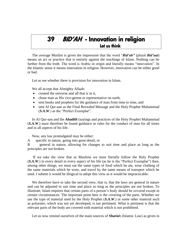# 39 BID'AH - Innovation in religion Let us think

 The average Muslim is given the impression that the word "*Bid"ah"* (plural *Bid"aat*) means an act or practice that is entirely against the teachings of Islam. Nothing can be further from the truth. The word is Arabic in origin and literally means "innovation". In the Islamic sense it means innovation in religion. However, innovation can be either good or bad.

Let us see whether there is provision for innovation in Islam.

We all accept that Almighty Allaah:

- created the universe and all that is in it,
- chose man as His vice-gerent or representative on earth,
- sent books and prophets for the guidance of man from time to time, and
- sent Al Qur-aan as the Final Revealed Message and the Holy Prophet Muhammad (*S.A.W*.) as the "Perfect Exemplar".

 In Al Qur-aan and the *Ahadith* (sayings and practices of the Holy Prophet Muhammad (*S.A.W*.) must therefore be found guidance or rules for the conduct of man for all times and in all aspects of his life.

Now, any law promulgated may be either:

A specific in nature, going into great detail, or

B general in nature, allowing for changes to suit time and place as long as the principles are not broken.

 If we take the view that as Muslims we must literally follow the Holy Prophet (*S.A.W*.) in every detail in every aspect of his life (as he is the "Perfect Exemplar") then, among other things, we must eat the same types of food which he ate, wear clothing of the same materials which he wore, and travel by the same means of transport which he used. I submit it would be illogical to adopt this view as it would be impracticable.

 We therefore have to take the second view, that is, that the laws are general in nature and can be adjusted to suit time and place so long as the principles are not broken. To illustrate, Islam requires that certain parts of a person"s body should be covered except in certain circumstances. The important point here is the covering of the parts. Whether we use the type of material used by the Holy Prophet (*S.A.W*.) or some other material such as polyester, which was not yet developed, is not pertiment. What is pertinent is that the relevant parts of the body are covered with material which is not prohibited.

Let us now remind ourselves of the main sources of *Sharia*h (Islamic Law) as given in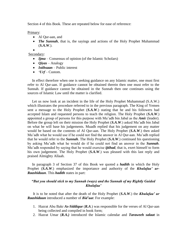Section 4 of this Book. These are repeated below for ease of reference:

Primary:

- Al Qur-aan, and
- *The Sunnah*, that is, the sayings and actions of the Holy Prophet Muhammad (*S.A.W*.).

 $\bullet$ Secondary:

- *Ijma* Consensus of opinion (of the Islamic Scholars)
- *Qiyas* Analogy
- *Istihsaan* Public interest
- *"Urf* Custom.

 In effect therefore when one is seeking guidance on any Islamic matter, one must first refer to Al Qur-aan. If guidance cannot be obtained therein then one must refer to the Sunnah. If guidance cannot be obtained in the Sunnah then one continues using the sources of Islamic Law until the matter is clarified.

Let us now look at an incident in the life of the Holy Prophet Muhammad (S.A.W.) which illustrates the procedure referred to in the previous paragraph. The King of Yemen sent a message to the Holy Prophet (*S.A.W*.) stating that he and his followers had accepted Islam and requested persons to teach the religion. The Holy Prophet (*S.A.W*.) appointed a group of persons for this purpose with Mu"adh bin Jabal as the *Ami*r (leader). Before the group left on their mission the Holy Prophet (*S.A.W*.) asked Mu"adh bin Jabal on what he will base his judgements. Muadh replied that his judgement on any matter would be based on the contents of Al Qur-aan. The Holy Prophet (*S.A.W*.) then asked Mu"adh what he would use if he could not find the answer in Al Qur-aan. Mu"adh replied that he would refer to the *Sunnah*. The Holy Prophet (*S.A.W*.) continued his questioning by asking Mu"adh what he would do if he could not find an answer in the *Sunnah*. Mu"adh responded by saying that he would exercise *ijtihad*, that is, exert himself to form his own judgement. The Holy Prophet (*S.A.W*.) was pleased with this last reply and praised Almighty Allaah.

 In paragraph 3 of Section 37 of this Book we quoted a *hadith* in which the Holy Prophet (*S.A.W*.) emphasized the importance and authority of the *Khulafaa" ur-Raashiduun*. This *hadith* states in part:

# *"But you should stick to my Sunnah (ways) and the Sunnah of my Rightly Guided Khulafaa"*

 It is to be noted that after the death of the Holy Prophet (*S.A.W*.) the *Khulafaa" ur Raashiduun* introduced a number of *Bid"aat*. For example:

- 1. Hazrat Abu Bakr *As-Siddique* (*R.A*.) was responsible for the verses of Al Qur-aan being collected and compiled in book form;
- 2. Hazrat Umar (*R.A.)* introduced the Islamic calendar and *Taraweeh salaat* in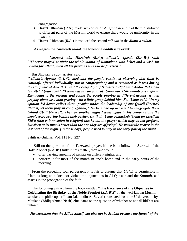congregation;

- 3. Hazrat Uthmaan (*R.A*.) made six copies of Al Qur"aan and had them distributed to different parts of the Muslim world to ensure there would be uniformity in the text; and
- 4. Hazrat "Uthmaan (*R.A*.) introduced the second *adhaan* in the *Jumu"a salaat*.

As regards the *Taraweeh salaat,* the following *hadith* is relevant:

*Narrated Abu Hurairah (R.A.): Allaah"s Apostle (S.A.W.) said: "Whoever prayed at night the whole month of Ramadaan with belief and a wish for reward for Allaah, then all his previous sins will be forgiven."*

Ibn Shibaah (a sub-narrator) said:

"*Allaah"s Apostle (S.A.W.) died and the people continued observing that (that is, Nawaafil offered individually, not in congregation) and it remained as it was during the Caliphate of Abu Bakr and the early days of "Umar"s Caliphate." Abdur Rahmaan bin Abdul Qaarii said: "I went out in company of "Umar bin Al-Khattaab one night in Ramadaan to the mosque and found the people praying in different groups: a man praying alone or a man praying with a little group behind him. So, "Umar said: "In my opinion I"d better collect these (people) under the leadership of one Qaarii (Reciter) (that is, let them pray in congregation)". So he made up his mind to congregate them behind Ubaii bin Ka"b. Then on another night I went again in his company and the people were praying behind their reciter. On that, "Umar remarked: 'What an excellent Bid"a (that is innovation in religion) this is; but the prayer which they do not perform,*  but sleep at its time is better than the one they are offering'. He meant the prayer in the *last part of the night. (In those days) people used to pray in the early part of the night.*

Sahih Al-Bukhari Vol. 111 No. 227

 Still on the question of the *Taraweeh* prayer, if one is to follow the *Sunnah* of the Holy Prophet (*S.A.W*.) fully in this matter, then one would:

- offer varying amounts of rakaats on different nights, and
- perform it for most of the month in one"s home and in the early hours of the morning

 From the preceding four paragraphs it is fair to assume that *bid"ah* is permissible in Islam as long as it:does not violate the injunctions in Al Qur-aan and the *Sunnah*, and assists in the propagation of the faith.

 The following extract from the book entitled "**The Excellence of the Objective in Celebrating the Birthday of the Noble Prophet (***S.A.W***.)**" by the well-known Muslim scholar and philosopher Imam Jalaluddin Al-Suyuti (translated from the Urdu version by Maulana Siddiq Ahmad Nasir) elucidates on the question of whether or not all bid"aat are unlawful:

*"His statement that the Milad Sharif can also not be Mubah because the Ijmaa" of the*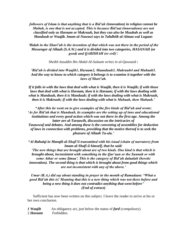*followers of Islam is that anything that is a Bid"ah (innovation) in religion cannot be Mubah, is one that is not accepted. This is because Bid"aat (innovations) are not classified only as Haraam or Makruuh, but they can also be Muubah as well as Manduub or Waajib. Imam al-Nawawi says in Tahdhiib al-Almaa wal Lugaat:*

*"Bidah in the Shari"ah is the invention of that which was not there in the period of the Messenger of Allaah (S.A.W.) and it is divided into two categories, HASANAH (or good) and QABIIHAH (or evil)".*

*Sheikh Izzuddin Ibn Abdal-Al-Salaam writes in al-Qawaaid :*

*"Bid"ah is divided into Waajib1, Haraam2, Maanduub3, Makruuh4 and Mubaah5. And the way to know to which category it belongs is to examine it together with the laws of Shari"ah.*

*If it falls in with the laws that deal with what is Waajib, then it is Waajib; if with those laws that deal with what is Haraam, then it is Haraam; if with the laws dealing with what is Manduub, then it is Manduub; if with the laws dealing with what is Makruuh, then it is Makruuh; if with the laws dealing with what is Mubaah, then Mubaah."*

*"After this he went on to give examples of the five kinds of Bid"ah and wrote: "As for Bid"ah that is Manduub, its examples are the setting up of inns and educational institutions and every good action which was not there in the first age. Among the latter are al-Taraawih, discussion on the intricacies of Tasawwuf and debates. And among these is the convening of assemblies for deduction of laws in connection with problems, providing that the motive thereof is to seek the pleasure of Allaah Ta-ala."*

*"Al-Bahaiqi in Manqib al-Shafi"ii transmitted with his isnad (chain of narrators) from Imam al-Shafi-ii himself, that he said: "The new things that are brought about are of two kinds. One kind is that which is* 

*brought about, inconsistent with something in the Qur"aan or the Sunnah or with some Athar or some Ijmaa". This is the category of Bid"ah dalaalah (heretic innovation). The second thing is that which is brought about from good things which are not inconsistent with any of the above."*

## *Umar (R.A.) did say about standing in prayer in the month of Ramadaan: "What a good Bid"ah this is! Meaning that this is a new thing which was not there before and being a new thing it does not contradict anything that went before" (End of extract)*

 Sufficient has now been written on this subject. I leave the reader to arrive at his or her own conclusion.

| 1 Waajib | An obligatory act, just below the status of <b>fard</b> (compulsory). |
|----------|-----------------------------------------------------------------------|
| 2 Haraam | Forbidden.                                                            |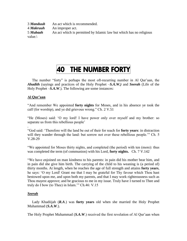*Manduub* An act which is recommended. *Makruuh* An improper act. *Mubaah* An act which is permitted by Islamic law but which has no religious value.\

# 40 THE NUMBER FORTY

The number "forty" is perhaps the most oft-recurring number in Al Qur'aan, the *Ahadith* (sayings and practices of the Holy Prophet –*S.A.W.)* and *Seerah* (Life of the Holy Prophet –*S.A.W.*). The following are some instances:

# **Al Qur"aan**

"And remember We appointed **forty nights** for Moses, and in his absence ye took the calf (for worship), and ye did grievous wrong." Ch. 2 V.51

"He (Moses) said: "O my lord! I have power only over myself and my brother: so separate us from this rebellious people"

. "God said: "Therefore will the land be out of their for reach for **forty years**: in distraction will they wander through the land: but sorrow not over these rebellious people." Ch. 5 V.28-29

"We appointed for Moses thirty nights, and completed (the period) with ten (more): thus was completed the term (of communion) with his Lord, **forty nights.** Ch. 7 V.142

"We have enjoined on man kindness to his parents: in pain did his mother bear him, and in pain did she give him birth. The carrying of the child to his weaning is (a period of) thirty months. At length, when he reaches the age of full strength and attains **forty years**, he says: "O my Lord! Grant me that I may be grateful for Thy favour which Thou hast bestowed upon me, and upon both my parents, and that I may work righteousness such as Thou mayest approve; and be gracious to me in my issue. Truly have I turned to Thee and truly do I bow (to Thee) in Islam."" Ch.46: V.15

# *Seerah*

 Lady Khadiijah (*R.A*.) was **forty years** old when she married the Holy Prophet Muhammad (*S.A.W*.).

The Holy Prophet Muhammad (*S.A.W*.) received the first revelation of Al Qur'aan when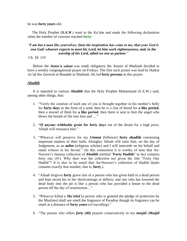he was **forty years** old.

 The Holy Prophet (*S.A.W*.) went to the Ka"aba and made the following declaration when the number of converts reached **forty**:

#### *"I am but a man like yourselves, (but) the inspiration has come to me, that your God is one God: whoever expects to meet his Lord, let him work righteousness, and, in the worship of his Lord, admit no one as partner*."

Ch. 18: 110

 Before the *Jumu"a salaat* was made obligatory the Ansars of Madinah decided to have a weekly congregational prayer on Fridays. The first such prayer was lead by Hadrat As"ad ibn Zurwich at Biaadah in Madinah. He led **forty persons** in this prayer.

## *Ahadith*

 It is reported in various *Ahadith* that the Holy Prophet Muhammad (S.A.W.) said, among other things, that:

- 1. "Verily the creation of each one of you is brought together in his mother"s belly for **forty days** in the form of a seed, then he is a clot of blood for **a like period**, then a morsel of flesh for **a like period**, then there is sent to him the angel who blows the breath of life into him and ...."
- 2. **"If anyone withholds grain for forty days** out of the desire for a high price, Allaah will renounce him."
- 3. "Whoever will preserve for my *Ummat* (follower) **forty ahadith** concerning important matters of their faith, Almighty Allaah will raise him, on the day of Judgement, as an *aalim* (religious scholar) and I will intercede on his behalf and stand witness in his favour." (In this connection it is worthy of note that An-Nawawi"s famous collection of *Ahadith* entitled "**Forty Hadith**" in fact contains forty one (41). Why then was the collection not given the title "Forty One Hadith"? It is also to be noted that An-Nawawi's collection of Hadith Qudsi contains exactly that number, that is, **forty**.).
- 4. "Allaah forgives **forty** grave sins of a person who has given bath to a dead person and kept secret his or her shortcomings or defects; and one who has lowered the dead body into the pit is like a person who has provided a house to the dead person till the day of resurrection…"
- 5. "Whoever killed a *Mu"ahid* (a person who is granted the pledge of protection by the Muslims) shall not smell the fragrance of Paradise though its fragrance can be smelt at a distance of **forty years** (of travelling)."
- 6. "The person who offers *forty (40)* prayers consecutively in my *masjid* (*Masjid*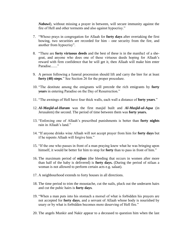*Nabawi*), without missing a prayer in between, will secure immunity against the fire of Hell and other torments and also against hypocrisy."

- 7. "Whoso prays in congregation for Allaah for **forty days** after overtaking the first bowing, two securities are recorded for him - one security from the fire, and another from hypocrisy".
- 8. "There are **forty virtuous deeds** and the best of these is in the maniha1 of a shegoat, and anyone who does one of these virtuous deeds hoping for Allaah"s reward with firm confidence that he will get it, then Allaah will make him enter Paradise......"
- 9. A person following a funeral procession should lift and carry the bier for at least **forty (40) steps**." See Section 26 for the proper procedure.
- 10. "The destitute among the emigrants will precede the rich emigrants by **forty years** in entering Paradise on the Day of Resurrection."
- 11. "The awnings of Hell have four thick walls, each wall a distance of **forty years**."
- 12. *Al-Masjid-ul-Haram* was the first masjid built and *Al-Masjid-ul-Aqsa* (in Jerusalem) the second. The period of time between them was **forty years.**
- 13. "Enforcing one of Allaah"s prescribed punishments is better than **forty nights** rain in Allaah's land."
- 14. "If anyone drinks wine Allaah will not accept prayer from him for **forty days** but if he repents Allaah will forgive him."
- 15. "If the one who passes in front of a man praying knew what he was bringing upon himself, it would be better for him to stop for **forty** than to pass in front of him."
- 16. The maximum period of *nifaas* (the bleeding that occurs in women after more than half of the baby is delivered) is **forty days.** (During the period of nifaas a woman is not allowed to perform certain acts e.g. salaat).
- 17. A neighbourhood extends to forty houses in all directions.
- 18. The time period to trim the moustache, cut the nails, pluck out the underarm hairs and cut the pubic hairs is **forty days**.
- 19. "When a man puts into his stomach a morsel of what is forbidden his prayers are not accepted for **forty days**, and a servant of Allaah whose body is nourished by usury or by what is forbidden becomes more deserving of Hell fire."
- 20. The angels Munkir and Nakir appear to a deceased to question him when the last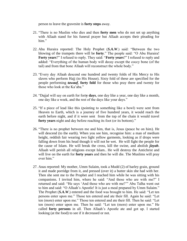person to leave the gravesite is **forty steps** away.

- 21. "There is no Muslim who dies and then **forty men** who do not set up anything with Allaah stand for his funeral prayer but Allaah accepts their pleading for him."
- 22. Abu Huraira reported: The Holy Prophet (*S.A.W*.) said: "Between the two blowing of the trumpets there will be **forty**." The people said: "O Abu Huraira! **Forty years**?" I refused to reply. They said: "**Forty years**?" I refused to reply and added: "Everything of the human body will decay except the coccy bone (of the tail) and from that bone Allaah will reconstruct the whole body."
- 23. "Every day Allaah descend one hundred and twenty folds of His Mercy to His slaves who perform Hajj (to His House). Sixty fold of these are specified for the people performing *tawaaf*, **forty fold** for those who pray there and twenty for those who look at the Ka"aba."
- 24. "Dajjal will say on earth for fort**y days**, one day like a year, one day like a month, one day like a week, and the rest of the days like your days."
- 25. "If a piece of lead like this (pointing to something like a bowl) were sent from Heaven to Earth, which is a journey of five hundred years, it would reach the earth before night, and if it were sent from the top of the chain it would travel **forty years** night and day before reaching its foot (or its bottom)."
- 26. "There is no prophet between me and him, that is, Jesus (peace be on him). He will descend (to the earth). When you see him, recognise him: a man of medium height, reddish fair wearing two light yellow garments, looking as if drops were falling down from his head though it will not be wet. He will fight the people for the cause of Islam. He will break the cross, kill the swine, and abolish *jizyah*. Allaah will perish all religions except Islam.. He will destroy the Antichrist and will live on the earth for **forty years** and then he will die. The Muslims will pray over him."
- 27. Anas reported: My mother, Umm Sulaim, took a Mudd (2) of barley grain, ground it and made porridge from it, and pressed (over it) a butter skin she had with her. Then she sent me to the Prophet and I reached him while he was sitting with his companions. I invited him, where he said: "And those who are with me?" I returned and said: "He says "And those who are with me?"" Abu Talha went out to him and said: "O Allaah"s Apostle! It is just a meal prepared by Umm Sulaim." The Prophet (*S.A.W*.) entered and the food was brought to him. He said: "Let ten persons enter upon me." Those ten entered and ate their fill. Again he said: "Let ten (more) enter upon me." Those ten entered and ate their fill. Then he said: "Let ten (more) enter upon me. Then he said: "Let ten (more) enter upon me." He called **forty persons** in all. Then Allaah"s Apostle ate and got up. I started looking (at the food) to see if it decreased or not.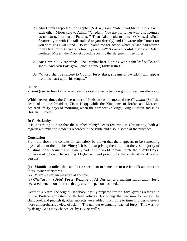- 28. Abu Huraira reported: the Prophet (*S.A.W.)* said: "Adam and Moses argued with each other. Moses said to Adam: "O Adam! You are our father who disappointed us and turned us out of Paradise." Then Adam said to him: "O Moses! Allaah favoured you with His talk (talked to you directly) and He wrote (the Torah) for you with His Own Hand. Do you blame me for action which Allaah had written in my fate for **forty years** before my creation?" So Adam confuted Moses. "Adam confuted Moses" the Prophet added, repeating the statement three times.
- 29. Anas bin Malik reported: "The Prophet beat a drunk with palm-leaf stalks and shoes. And Abu Bakr gave (such a sinner) **forty lashes.**""
- 30. "Whoso shall be sincere to God for **forty days**, streams of l wisdom will appear from his heart upon his tongue."

#### **Other**

*Zakaat* (see Section 12) is payable at the rate of one fortieth on gold, silver, jewellery etc.

Within recent times the Government of Pakistan commemorated the *Chaliswa* **(**3)of the death of its late President, Zia-ul-Haqq, while the Kingdoms of Jordan and Morocco declared **forty days** of mourning when their respective kings, King Hussein and King Hassan 11, died..

#### **In Christianity**

It is interesting to note that the number **"forty"** keeps recurring in Christianity, both as regards a number of incidents recorded in the Bible and also in some of the practices.

#### **Conclusion**

From the above the conclusion can safely be drawn that there appears to be something mystical about the number **"forty"**. It is not surprising therefore that the vast majority of Muslims in this country and in many parts of the world commemorate the "**Forty Days**" of deceased relatives by reading Al Qur"aan, and praying for the souls of the deceased persons.

(1) *Maniih* - a milch she-camel or a sheep lent to someone to use its milk and return it to its owner afterwards.

(2) *Mudd* - a certain measure of volume

(3) *Chaliswa* - (Urdu) **Forty**, Reading of Al Qur-aan and making supplication for a deceased person on the fortieth day after the person has died..

(**Author"s Note**: The orignal Handbook hastily prepared for the *Tarbiyyah* as referred to in the Preface consisted of thirteen articles. Following the decision to review the Handbook and publish it, other subjects were added from time to time in order to give a more comprehensive view of Islam. The number eventually reached **forty**.. This was not by design. Was it by chance, or by Divine Will?)